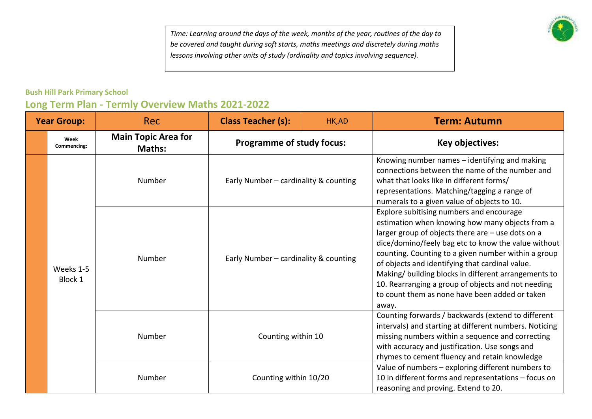*Time: Learning around the days of the week, months of the year, routines of the day to be covered and taught during soft starts, maths meetings and discretely during maths lessons involving other units of study (ordinality and topics involving sequence).* 

## **Bush Hill Park Primary School**

| <b>Year Group:</b> |                      | <b>Rec</b>                                  | <b>Class Teacher (s):</b>                                                      | HK,AD | <b>Term: Autumn</b>                                                                                                                                                                                                                                                                                                                                                                                                                                                                        |
|--------------------|----------------------|---------------------------------------------|--------------------------------------------------------------------------------|-------|--------------------------------------------------------------------------------------------------------------------------------------------------------------------------------------------------------------------------------------------------------------------------------------------------------------------------------------------------------------------------------------------------------------------------------------------------------------------------------------------|
|                    | Week<br>Commencing:  | <b>Main Topic Area for</b><br><b>Maths:</b> | <b>Programme of study focus:</b>                                               |       | Key objectives:                                                                                                                                                                                                                                                                                                                                                                                                                                                                            |
|                    |                      | Number                                      | Early Number - cardinality & counting<br>Early Number - cardinality & counting |       | Knowing number names - identifying and making<br>connections between the name of the number and<br>what that looks like in different forms/<br>representations. Matching/tagging a range of<br>numerals to a given value of objects to 10.                                                                                                                                                                                                                                                 |
|                    | Weeks 1-5<br>Block 1 | Number                                      |                                                                                |       | Explore subitising numbers and encourage<br>estimation when knowing how many objects from a<br>larger group of objects there are - use dots on a<br>dice/domino/feely bag etc to know the value without<br>counting. Counting to a given number within a group<br>of objects and identifying that cardinal value.<br>Making/ building blocks in different arrangements to<br>10. Rearranging a group of objects and not needing<br>to count them as none have been added or taken<br>away. |
|                    |                      | Number                                      | Counting within 10                                                             |       | Counting forwards / backwards (extend to different<br>intervals) and starting at different numbers. Noticing<br>missing numbers within a sequence and correcting<br>with accuracy and justification. Use songs and<br>rhymes to cement fluency and retain knowledge                                                                                                                                                                                                                        |
|                    |                      | Number                                      | Counting within 10/20                                                          |       | Value of numbers - exploring different numbers to<br>10 in different forms and representations - focus on<br>reasoning and proving. Extend to 20.                                                                                                                                                                                                                                                                                                                                          |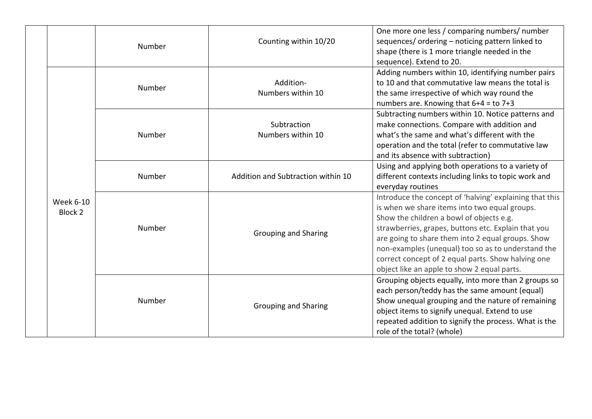|                      | Number | Counting within 10/20              | One more one less / comparing numbers/ number<br>sequences/ordering - noticing pattern linked to<br>shape (there is 1 more triangle needed in the<br>sequence). Extend to 20.                                                                                                                                                                                                                                               |
|----------------------|--------|------------------------------------|-----------------------------------------------------------------------------------------------------------------------------------------------------------------------------------------------------------------------------------------------------------------------------------------------------------------------------------------------------------------------------------------------------------------------------|
|                      | Number | Addition-<br>Numbers within 10     | Adding numbers within 10, identifying number pairs<br>to 10 and that commutative law means the total is<br>the same irrespective of which way round the<br>numbers are. Knowing that $6+4 =$ to $7+3$                                                                                                                                                                                                                       |
|                      | Number | Subtraction<br>Numbers within 10   | Subtracting numbers within 10. Notice patterns and<br>make connections. Compare with addition and<br>what's the same and what's different with the<br>operation and the total (refer to commutative law<br>and its absence with subtraction)                                                                                                                                                                                |
|                      | Number | Addition and Subtraction within 10 | Using and applying both operations to a variety of<br>different contexts including links to topic work and<br>everyday routines                                                                                                                                                                                                                                                                                             |
| Week 6-10<br>Block 2 | Number | <b>Grouping and Sharing</b>        | Introduce the concept of 'halving' explaining that this<br>is when we share items into two equal groups.<br>Show the children a bowl of objects e.g.<br>strawberries, grapes, buttons etc. Explain that you<br>are going to share them into 2 equal groups. Show<br>non-examples (unequal) too so as to understand the<br>correct concept of 2 equal parts. Show halving one<br>object like an apple to show 2 equal parts. |
|                      | Number | <b>Grouping and Sharing</b>        | Grouping objects equally, into more than 2 groups so<br>each person/teddy has the same amount (equal)<br>Show unequal grouping and the nature of remaining<br>object items to signify unequal. Extend to use<br>repeated addition to signify the process. What is the<br>role of the total? (whole)                                                                                                                         |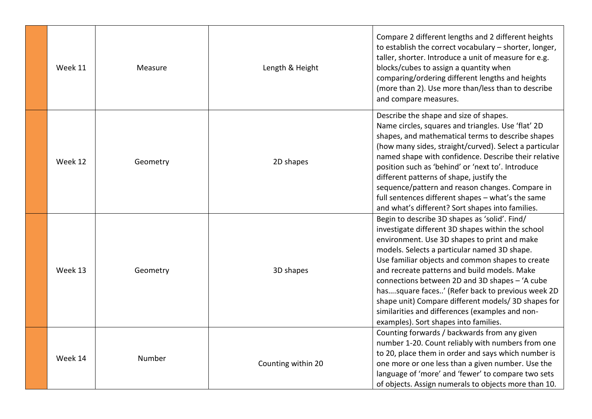| Week 11 | Measure  | Length & Height    | Compare 2 different lengths and 2 different heights<br>to establish the correct vocabulary - shorter, longer,<br>taller, shorter. Introduce a unit of measure for e.g.<br>blocks/cubes to assign a quantity when<br>comparing/ordering different lengths and heights<br>(more than 2). Use more than/less than to describe<br>and compare measures.                                                                                                                                                                                                             |
|---------|----------|--------------------|-----------------------------------------------------------------------------------------------------------------------------------------------------------------------------------------------------------------------------------------------------------------------------------------------------------------------------------------------------------------------------------------------------------------------------------------------------------------------------------------------------------------------------------------------------------------|
| Week 12 | Geometry | 2D shapes          | Describe the shape and size of shapes.<br>Name circles, squares and triangles. Use 'flat' 2D<br>shapes, and mathematical terms to describe shapes<br>(how many sides, straight/curved). Select a particular<br>named shape with confidence. Describe their relative<br>position such as 'behind' or 'next to'. Introduce<br>different patterns of shape, justify the<br>sequence/pattern and reason changes. Compare in<br>full sentences different shapes - what's the same<br>and what's different? Sort shapes into families.                                |
| Week 13 | Geometry | 3D shapes          | Begin to describe 3D shapes as 'solid'. Find/<br>investigate different 3D shapes within the school<br>environment. Use 3D shapes to print and make<br>models. Selects a particular named 3D shape.<br>Use familiar objects and common shapes to create<br>and recreate patterns and build models. Make<br>connections between 2D and 3D shapes - 'A cube<br>hassquare faces' (Refer back to previous week 2D<br>shape unit) Compare different models/ 3D shapes for<br>similarities and differences (examples and non-<br>examples). Sort shapes into families. |
| Week 14 | Number   | Counting within 20 | Counting forwards / backwards from any given<br>number 1-20. Count reliably with numbers from one<br>to 20, place them in order and says which number is<br>one more or one less than a given number. Use the<br>language of 'more' and 'fewer' to compare two sets<br>of objects. Assign numerals to objects more than 10.                                                                                                                                                                                                                                     |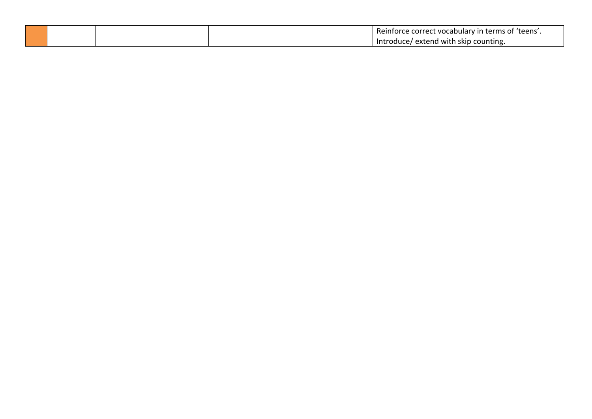|  | Reinforce correct vocabulary in terms of 'teens'. |
|--|---------------------------------------------------|
|  | / extend with skip counting.<br>/Introduce        |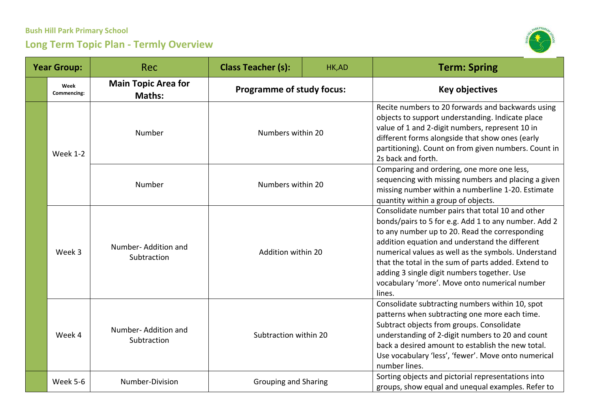

| <b>Year Group:</b> |                     | Rec                                  | <b>Class Teacher (s):</b>              | HK,AD | <b>Term: Spring</b>                                                                                                                                                                                                                                                                                                                                                                                                                  |
|--------------------|---------------------|--------------------------------------|----------------------------------------|-------|--------------------------------------------------------------------------------------------------------------------------------------------------------------------------------------------------------------------------------------------------------------------------------------------------------------------------------------------------------------------------------------------------------------------------------------|
|                    | Week<br>Commencing: | <b>Main Topic Area for</b><br>Maths: | <b>Programme of study focus:</b>       |       | <b>Key objectives</b>                                                                                                                                                                                                                                                                                                                                                                                                                |
|                    | <b>Week 1-2</b>     | Number                               | Numbers within 20<br>Numbers within 20 |       | Recite numbers to 20 forwards and backwards using<br>objects to support understanding. Indicate place<br>value of 1 and 2-digit numbers, represent 10 in<br>different forms alongside that show ones (early<br>partitioning). Count on from given numbers. Count in<br>2s back and forth.                                                                                                                                            |
|                    |                     | Number                               |                                        |       | Comparing and ordering, one more one less,<br>sequencing with missing numbers and placing a given<br>missing number within a numberline 1-20. Estimate<br>quantity within a group of objects.                                                                                                                                                                                                                                        |
|                    | Week 3              | Number-Addition and<br>Subtraction   | Addition within 20                     |       | Consolidate number pairs that total 10 and other<br>bonds/pairs to 5 for e.g. Add 1 to any number. Add 2<br>to any number up to 20. Read the corresponding<br>addition equation and understand the different<br>numerical values as well as the symbols. Understand<br>that the total in the sum of parts added. Extend to<br>adding 3 single digit numbers together. Use<br>vocabulary 'more'. Move onto numerical number<br>lines. |
|                    | Week 4              | Number-Addition and<br>Subtraction   | Subtraction within 20                  |       | Consolidate subtracting numbers within 10, spot<br>patterns when subtracting one more each time.<br>Subtract objects from groups. Consolidate<br>understanding of 2-digit numbers to 20 and count<br>back a desired amount to establish the new total.<br>Use vocabulary 'less', 'fewer'. Move onto numerical<br>number lines.                                                                                                       |
|                    | Week 5-6            | Number-Division                      | <b>Grouping and Sharing</b>            |       | Sorting objects and pictorial representations into<br>groups, show equal and unequal examples. Refer to                                                                                                                                                                                                                                                                                                                              |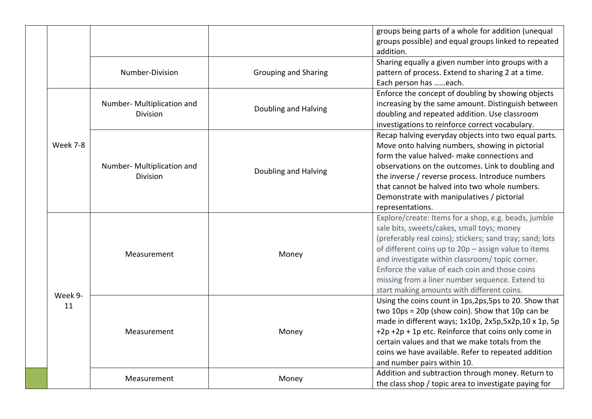|  |          |                                               |                             | groups being parts of a whole for addition (unequal<br>groups possible) and equal groups linked to repeated<br>addition.                                                                                                                                                                                                                                                                                                     |
|--|----------|-----------------------------------------------|-----------------------------|------------------------------------------------------------------------------------------------------------------------------------------------------------------------------------------------------------------------------------------------------------------------------------------------------------------------------------------------------------------------------------------------------------------------------|
|  |          | Number-Division                               | <b>Grouping and Sharing</b> | Sharing equally a given number into groups with a<br>pattern of process. Extend to sharing 2 at a time.<br>Each person has each.                                                                                                                                                                                                                                                                                             |
|  |          | Number- Multiplication and<br>Division        | Doubling and Halving        | Enforce the concept of doubling by showing objects<br>increasing by the same amount. Distinguish between<br>doubling and repeated addition. Use classroom<br>investigations to reinforce correct vocabulary.                                                                                                                                                                                                                 |
|  | Week 7-8 | Number- Multiplication and<br><b>Division</b> | Doubling and Halving        | Recap halving everyday objects into two equal parts.<br>Move onto halving numbers, showing in pictorial<br>form the value halved- make connections and<br>observations on the outcomes. Link to doubling and<br>the inverse / reverse process. Introduce numbers<br>that cannot be halved into two whole numbers.<br>Demonstrate with manipulatives / pictorial<br>representations.                                          |
|  | Week 9-  | Measurement                                   | Money                       | Explore/create: Items for a shop, e.g. beads, jumble<br>sale bits, sweets/cakes, small toys; money<br>(preferably real coins); stickers; sand tray; sand; lots<br>of different coins up to 20p - assign value to items<br>and investigate within classroom/ topic corner.<br>Enforce the value of each coin and those coins<br>missing from a liner number sequence. Extend to<br>start making amounts with different coins. |
|  | 11       | Measurement                                   | Money                       | Using the coins count in 1ps, 2ps, 5ps to 20. Show that<br>two 10ps = 20p (show coin). Show that 10p can be<br>made in different ways; 1x10p, 2x5p,5x2p,10 x 1p, 5p<br>+2p +2p + 1p etc. Reinforce that coins only come in<br>certain values and that we make totals from the<br>coins we have available. Refer to repeated addition<br>and number pairs within 10.                                                          |
|  |          | Measurement                                   | Money                       | Addition and subtraction through money. Return to<br>the class shop / topic area to investigate paying for                                                                                                                                                                                                                                                                                                                   |

L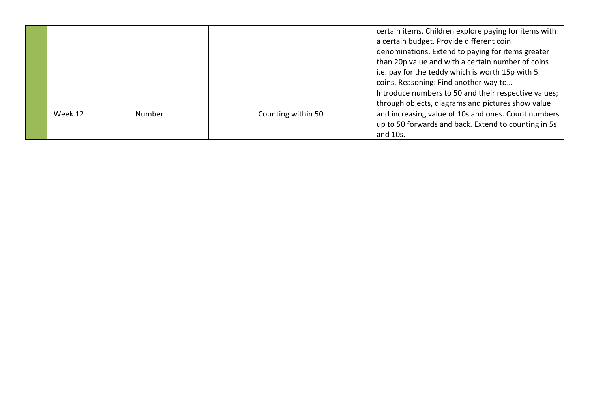|         |        |                    | certain items. Children explore paying for items with<br>a certain budget. Provide different coin<br>denominations. Extend to paying for items greater<br>than 20p value and with a certain number of coins<br>i.e. pay for the teddy which is worth 15p with 5 |
|---------|--------|--------------------|-----------------------------------------------------------------------------------------------------------------------------------------------------------------------------------------------------------------------------------------------------------------|
|         |        |                    | coins. Reasoning: Find another way to                                                                                                                                                                                                                           |
| Week 12 | Number | Counting within 50 | Introduce numbers to 50 and their respective values;<br>through objects, diagrams and pictures show value<br>and increasing value of 10s and ones. Count numbers<br>up to 50 forwards and back. Extend to counting in 5s<br>and 10s.                            |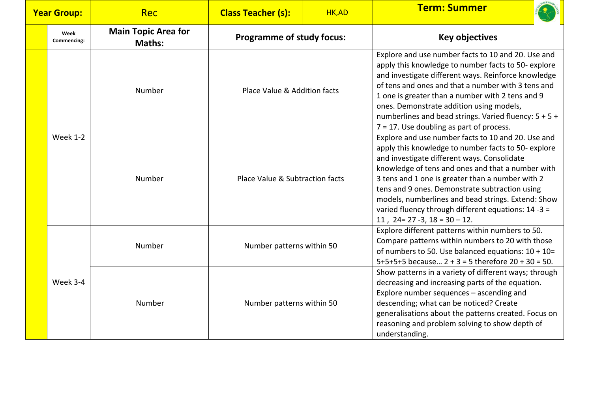| <b>Year Group:</b> |                     | <b>Rec</b>                                  | <b>Class Teacher (s):</b>                                       | HK,AD | <b>Term: Summer</b>                                                                                                                                                                                                                                                                                                                                                                                                                                                     |
|--------------------|---------------------|---------------------------------------------|-----------------------------------------------------------------|-------|-------------------------------------------------------------------------------------------------------------------------------------------------------------------------------------------------------------------------------------------------------------------------------------------------------------------------------------------------------------------------------------------------------------------------------------------------------------------------|
|                    | Week<br>Commencing: | <b>Main Topic Area for</b><br><b>Maths:</b> | <b>Programme of study focus:</b>                                |       | <b>Key objectives</b>                                                                                                                                                                                                                                                                                                                                                                                                                                                   |
|                    |                     | Number                                      | Place Value & Addition facts<br>Place Value & Subtraction facts |       | Explore and use number facts to 10 and 20. Use and<br>apply this knowledge to number facts to 50-explore<br>and investigate different ways. Reinforce knowledge<br>of tens and ones and that a number with 3 tens and<br>1 one is greater than a number with 2 tens and 9<br>ones. Demonstrate addition using models,<br>numberlines and bead strings. Varied fluency: 5 + 5 +<br>$7 = 17$ . Use doubling as part of process.                                           |
|                    | <b>Week 1-2</b>     | Number                                      |                                                                 |       | Explore and use number facts to 10 and 20. Use and<br>apply this knowledge to number facts to 50-explore<br>and investigate different ways. Consolidate<br>knowledge of tens and ones and that a number with<br>3 tens and 1 one is greater than a number with 2<br>tens and 9 ones. Demonstrate subtraction using<br>models, numberlines and bead strings. Extend: Show<br>varied fluency through different equations: 14 -3 =<br>11, $24 = 27 - 3$ , $18 = 30 - 12$ . |
|                    |                     | Number                                      | Number patterns within 50                                       |       | Explore different patterns within numbers to 50.<br>Compare patterns within numbers to 20 with those<br>of numbers to 50. Use balanced equations: $10 + 10 =$<br>$5+5+5+5$ because $2 + 3 = 5$ therefore $20 + 30 = 50$ .                                                                                                                                                                                                                                               |
|                    | Week 3-4            | Number                                      | Number patterns within 50                                       |       | Show patterns in a variety of different ways; through<br>decreasing and increasing parts of the equation.<br>Explore number sequences - ascending and<br>descending; what can be noticed? Create<br>generalisations about the patterns created. Focus on<br>reasoning and problem solving to show depth of<br>understanding.                                                                                                                                            |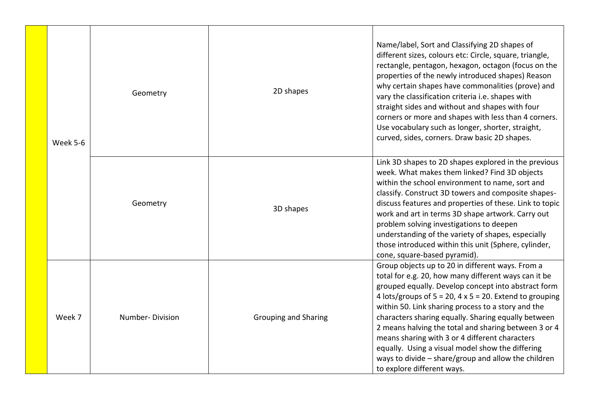|  | Week 5-6 | Geometry        | 2D shapes                   | Name/label, Sort and Classifying 2D shapes of<br>different sizes, colours etc: Circle, square, triangle,<br>rectangle, pentagon, hexagon, octagon (focus on the<br>properties of the newly introduced shapes) Reason<br>why certain shapes have commonalities (prove) and<br>vary the classification criteria i.e. shapes with<br>straight sides and without and shapes with four<br>corners or more and shapes with less than 4 corners.<br>Use vocabulary such as longer, shorter, straight,<br>curved, sides, corners. Draw basic 2D shapes.                                                       |
|--|----------|-----------------|-----------------------------|-------------------------------------------------------------------------------------------------------------------------------------------------------------------------------------------------------------------------------------------------------------------------------------------------------------------------------------------------------------------------------------------------------------------------------------------------------------------------------------------------------------------------------------------------------------------------------------------------------|
|  |          | Geometry        | 3D shapes                   | Link 3D shapes to 2D shapes explored in the previous<br>week. What makes them linked? Find 3D objects<br>within the school environment to name, sort and<br>classify. Construct 3D towers and composite shapes-<br>discuss features and properties of these. Link to topic<br>work and art in terms 3D shape artwork. Carry out<br>problem solving investigations to deepen<br>understanding of the variety of shapes, especially<br>those introduced within this unit (Sphere, cylinder,<br>cone, square-based pyramid).                                                                             |
|  | Week 7   | Number-Division | <b>Grouping and Sharing</b> | Group objects up to 20 in different ways. From a<br>total for e.g. 20, how many different ways can it be<br>grouped equally. Develop concept into abstract form<br>4 lots/groups of $5 = 20$ , $4 \times 5 = 20$ . Extend to grouping<br>within 50. Link sharing process to a story and the<br>characters sharing equally. Sharing equally between<br>2 means halving the total and sharing between 3 or 4<br>means sharing with 3 or 4 different characters<br>equally. Using a visual model show the differing<br>ways to divide - share/group and allow the children<br>to explore different ways. |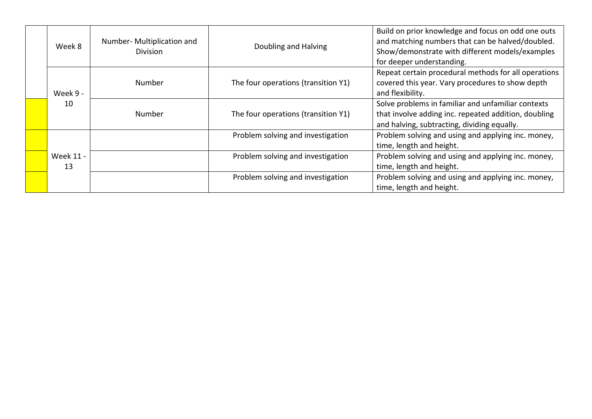| Week 8          | Number- Multiplication and<br><b>Division</b> | Doubling and Halving                | Build on prior knowledge and focus on odd one outs<br>and matching numbers that can be halved/doubled.<br>Show/demonstrate with different models/examples<br>for deeper understanding. |
|-----------------|-----------------------------------------------|-------------------------------------|----------------------------------------------------------------------------------------------------------------------------------------------------------------------------------------|
| Week 9 -        | Number                                        | The four operations (transition Y1) | Repeat certain procedural methods for all operations<br>covered this year. Vary procedures to show depth<br>and flexibility.                                                           |
| 10              | <b>Number</b>                                 | The four operations (transition Y1) | Solve problems in familiar and unfamiliar contexts<br>that involve adding inc. repeated addition, doubling<br>and halving, subtracting, dividing equally.                              |
|                 |                                               | Problem solving and investigation   | Problem solving and using and applying inc. money,<br>time, length and height.                                                                                                         |
| Week 11 -<br>13 |                                               | Problem solving and investigation   | Problem solving and using and applying inc. money,<br>time, length and height.                                                                                                         |
|                 |                                               | Problem solving and investigation   | Problem solving and using and applying inc. money,<br>time, length and height.                                                                                                         |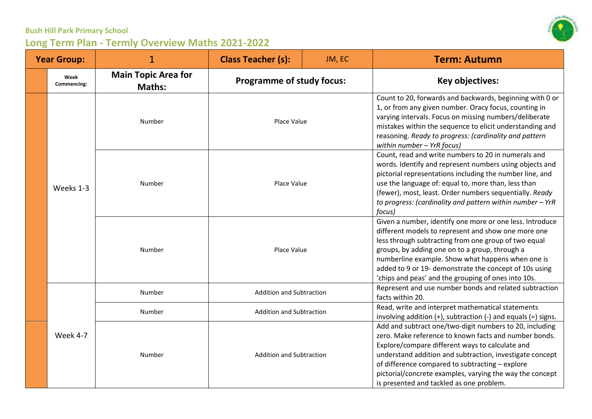| <b>Year Group:</b> |                     |                                             | <b>Class Teacher (s):</b>        | JM, EC | <b>Term: Autumn</b>                                                                                                                                                                                                                                                                                                                                                                             |
|--------------------|---------------------|---------------------------------------------|----------------------------------|--------|-------------------------------------------------------------------------------------------------------------------------------------------------------------------------------------------------------------------------------------------------------------------------------------------------------------------------------------------------------------------------------------------------|
|                    | Week<br>Commencing: | <b>Main Topic Area for</b><br><b>Maths:</b> | <b>Programme of study focus:</b> |        | Key objectives:                                                                                                                                                                                                                                                                                                                                                                                 |
|                    |                     | Number                                      | Place Value                      |        | Count to 20, forwards and backwards, beginning with 0 or<br>1, or from any given number. Oracy focus, counting in<br>varying intervals. Focus on missing numbers/deliberate<br>mistakes within the sequence to elicit understanding and<br>reasoning. Ready to progress: (cardinality and pattern<br>within number - YrR focus)                                                                 |
|                    | Weeks 1-3           | Number                                      | Place Value<br>Place Value       |        | Count, read and write numbers to 20 in numerals and<br>words. Identify and represent numbers using objects and<br>pictorial representations including the number line, and<br>use the language of: equal to, more than, less than<br>(fewer), most, least. Order numbers sequentially. Ready<br>to progress: (cardinality and pattern within number - YrR<br>focus)                             |
|                    |                     | Number                                      |                                  |        | Given a number, identify one more or one less. Introduce<br>different models to represent and show one more one<br>less through subtracting from one group of two equal<br>groups, by adding one on to a group, through a<br>numberline example. Show what happens when one is<br>added to 9 or 19- demonstrate the concept of 10s using<br>'chips and peas' and the grouping of ones into 10s. |
|                    |                     | Number                                      | <b>Addition and Subtraction</b>  |        | Represent and use number bonds and related subtraction<br>facts within 20.                                                                                                                                                                                                                                                                                                                      |
|                    |                     | Number                                      | <b>Addition and Subtraction</b>  |        | Read, write and interpret mathematical statements<br>involving addition $(+)$ , subtraction $(-)$ and equals $(=)$ signs.                                                                                                                                                                                                                                                                       |
|                    | Week 4-7            | Number                                      | <b>Addition and Subtraction</b>  |        | Add and subtract one/two-digit numbers to 20, including<br>zero. Make reference to known facts and number bonds.<br>Explore/compare different ways to calculate and<br>understand addition and subtraction, investigate concept<br>of difference compared to subtracting - explore<br>pictorial/concrete examples, varying the way the concept<br>is presented and tackled as one problem.      |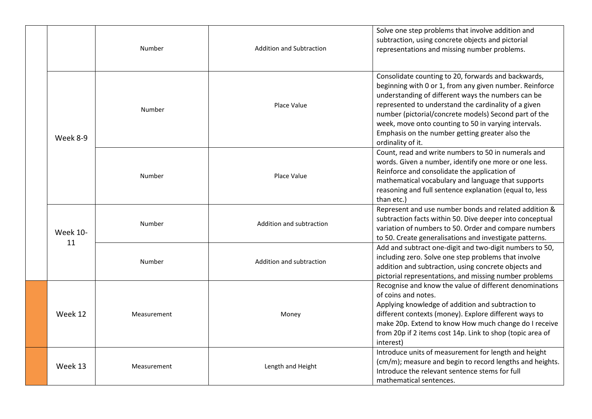|  |                       | Number      | <b>Addition and Subtraction</b> | Solve one step problems that involve addition and<br>subtraction, using concrete objects and pictorial<br>representations and missing number problems.                                                                                                                                                                                                                                                                |
|--|-----------------------|-------------|---------------------------------|-----------------------------------------------------------------------------------------------------------------------------------------------------------------------------------------------------------------------------------------------------------------------------------------------------------------------------------------------------------------------------------------------------------------------|
|  | Week 8-9              | Number      | Place Value                     | Consolidate counting to 20, forwards and backwards,<br>beginning with 0 or 1, from any given number. Reinforce<br>understanding of different ways the numbers can be<br>represented to understand the cardinality of a given<br>number (pictorial/concrete models) Second part of the<br>week, move onto counting to 50 in varying intervals.<br>Emphasis on the number getting greater also the<br>ordinality of it. |
|  |                       | Number      | Place Value                     | Count, read and write numbers to 50 in numerals and<br>words. Given a number, identify one more or one less.<br>Reinforce and consolidate the application of<br>mathematical vocabulary and language that supports<br>reasoning and full sentence explanation (equal to, less<br>than etc.)                                                                                                                           |
|  | <b>Week 10-</b><br>11 | Number      | Addition and subtraction        | Represent and use number bonds and related addition &<br>subtraction facts within 50. Dive deeper into conceptual<br>variation of numbers to 50. Order and compare numbers<br>to 50. Create generalisations and investigate patterns.                                                                                                                                                                                 |
|  |                       | Number      | Addition and subtraction        | Add and subtract one-digit and two-digit numbers to 50,<br>including zero. Solve one step problems that involve<br>addition and subtraction, using concrete objects and<br>pictorial representations, and missing number problems                                                                                                                                                                                     |
|  | Week 12               | Measurement | Money                           | Recognise and know the value of different denominations<br>of coins and notes.<br>Applying knowledge of addition and subtraction to<br>different contexts (money). Explore different ways to<br>make 20p. Extend to know How much change do I receive<br>from 20p if 2 items cost 14p. Link to shop (topic area of<br>interest)                                                                                       |
|  | Week 13               | Measurement | Length and Height               | Introduce units of measurement for length and height<br>(cm/m); measure and begin to record lengths and heights.<br>Introduce the relevant sentence stems for full<br>mathematical sentences.                                                                                                                                                                                                                         |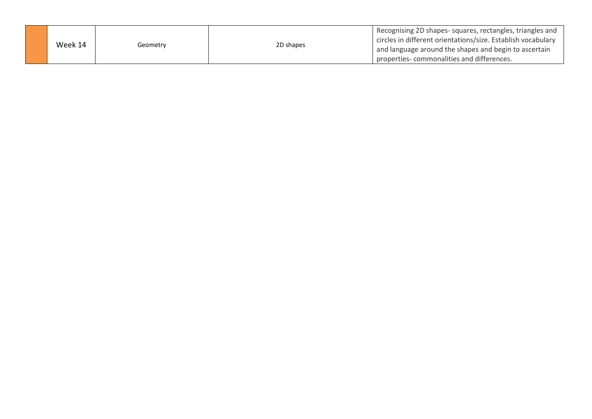| Week 14 | Geometrv | 2D shapes | Recognising 2D shapes-squares, rectangles, triangles and<br>circles in different orientations/size. Establish vocabulary<br>and language around the shapes and begin to ascertain<br>properties-commonalities and differences. |
|---------|----------|-----------|--------------------------------------------------------------------------------------------------------------------------------------------------------------------------------------------------------------------------------|
|         |          |           |                                                                                                                                                                                                                                |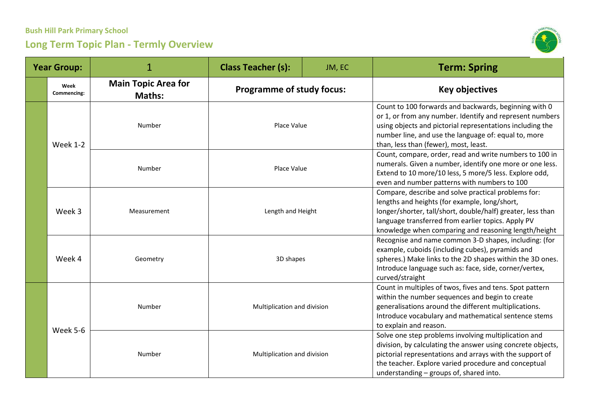

| <b>Year Group:</b> |                     | 1                                           | <b>Class Teacher (s):</b>                                  | JM, EC | <b>Term: Spring</b>                                                                                                                                                                                                                                                                |
|--------------------|---------------------|---------------------------------------------|------------------------------------------------------------|--------|------------------------------------------------------------------------------------------------------------------------------------------------------------------------------------------------------------------------------------------------------------------------------------|
|                    | Week<br>Commencing: | <b>Main Topic Area for</b><br><b>Maths:</b> | <b>Programme of study focus:</b>                           |        | <b>Key objectives</b>                                                                                                                                                                                                                                                              |
|                    | <b>Week 1-2</b>     | Number                                      | Place Value                                                |        | Count to 100 forwards and backwards, beginning with 0<br>or 1, or from any number. Identify and represent numbers<br>using objects and pictorial representations including the<br>number line, and use the language of: equal to, more<br>than, less than (fewer), most, least.    |
|                    |                     | Number                                      | Place Value                                                |        | Count, compare, order, read and write numbers to 100 in<br>numerals. Given a number, identify one more or one less.<br>Extend to 10 more/10 less, 5 more/5 less. Explore odd,<br>even and number patterns with numbers to 100                                                      |
|                    | Week 3              | Measurement                                 | Length and Height<br>3D shapes                             |        | Compare, describe and solve practical problems for:<br>lengths and heights (for example, long/short,<br>longer/shorter, tall/short, double/half) greater, less than<br>language transferred from earlier topics. Apply PV<br>knowledge when comparing and reasoning length/height  |
|                    | Week 4              | Geometry                                    |                                                            |        | Recognise and name common 3-D shapes, including: (for<br>example, cuboids (including cubes), pyramids and<br>spheres.) Make links to the 2D shapes within the 3D ones.<br>Introduce language such as: face, side, corner/vertex,<br>curved/straight                                |
|                    | Week 5-6            | Number                                      | Multiplication and division<br>Multiplication and division |        | Count in multiples of twos, fives and tens. Spot pattern<br>within the number sequences and begin to create<br>generalisations around the different multiplications.<br>Introduce vocabulary and mathematical sentence stems<br>to explain and reason.                             |
|                    |                     | Number                                      |                                                            |        | Solve one step problems involving multiplication and<br>division, by calculating the answer using concrete objects,<br>pictorial representations and arrays with the support of<br>the teacher. Explore varied procedure and conceptual<br>understanding - groups of, shared into. |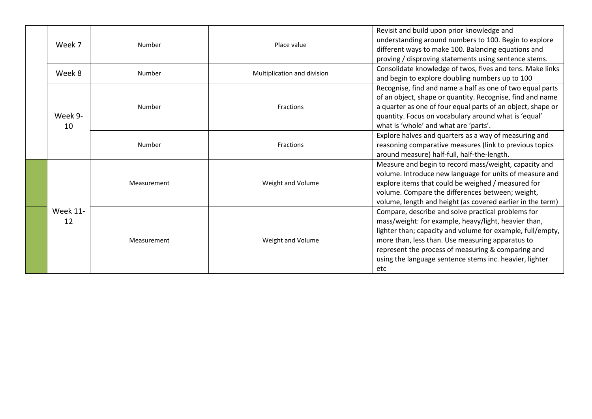|  | Week 7                | Number      | Place value                 | Revisit and build upon prior knowledge and<br>understanding around numbers to 100. Begin to explore<br>different ways to make 100. Balancing equations and<br>proving / disproving statements using sentence stems.                                                                                                                                  |
|--|-----------------------|-------------|-----------------------------|------------------------------------------------------------------------------------------------------------------------------------------------------------------------------------------------------------------------------------------------------------------------------------------------------------------------------------------------------|
|  | Week 8                | Number      | Multiplication and division | Consolidate knowledge of twos, fives and tens. Make links<br>and begin to explore doubling numbers up to 100                                                                                                                                                                                                                                         |
|  | Week 9-<br>10         | Number      | Fractions                   | Recognise, find and name a half as one of two equal parts<br>of an object, shape or quantity. Recognise, find and name<br>a quarter as one of four equal parts of an object, shape or<br>quantity. Focus on vocabulary around what is 'equal'<br>what is 'whole' and what are 'parts'.                                                               |
|  |                       | Number      | Fractions                   | Explore halves and quarters as a way of measuring and<br>reasoning comparative measures (link to previous topics<br>around measure) half-full, half-the-length.                                                                                                                                                                                      |
|  |                       | Measurement | Weight and Volume           | Measure and begin to record mass/weight, capacity and<br>volume. Introduce new language for units of measure and<br>explore items that could be weighed / measured for<br>volume. Compare the differences between; weight,<br>volume, length and height (as covered earlier in the term)                                                             |
|  | <b>Week 11-</b><br>12 | Measurement | Weight and Volume           | Compare, describe and solve practical problems for<br>mass/weight: for example, heavy/light, heavier than,<br>lighter than; capacity and volume for example, full/empty,<br>more than, less than. Use measuring apparatus to<br>represent the process of measuring & comparing and<br>using the language sentence stems inc. heavier, lighter<br>etc |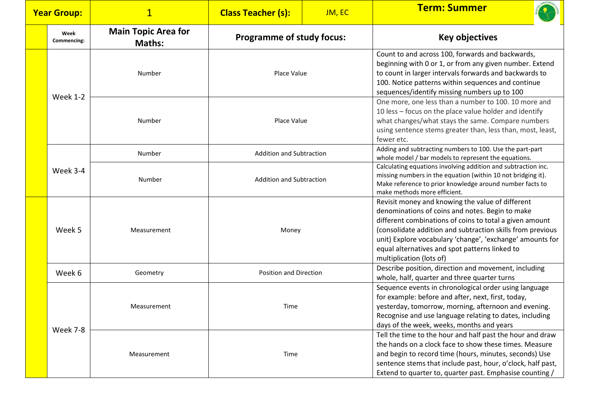| <b>Year Group:</b> |                     | $\mathbf 1$                                 | <b>Class Teacher (s):</b>        | JM, EC | <b>Term: Summer</b>                                                                                                                                                                                                                                                                                                                                                     |
|--------------------|---------------------|---------------------------------------------|----------------------------------|--------|-------------------------------------------------------------------------------------------------------------------------------------------------------------------------------------------------------------------------------------------------------------------------------------------------------------------------------------------------------------------------|
|                    | Week<br>Commencing: | <b>Main Topic Area for</b><br><b>Maths:</b> | <b>Programme of study focus:</b> |        | <b>Key objectives</b>                                                                                                                                                                                                                                                                                                                                                   |
|                    | <b>Week 1-2</b>     | Number                                      | Place Value                      |        | Count to and across 100, forwards and backwards,<br>beginning with 0 or 1, or from any given number. Extend<br>to count in larger intervals forwards and backwards to<br>100. Notice patterns within sequences and continue<br>sequences/identify missing numbers up to 100                                                                                             |
|                    |                     | Number                                      | Place Value                      |        | One more, one less than a number to 100. 10 more and<br>10 less - focus on the place value holder and identify<br>what changes/what stays the same. Compare numbers<br>using sentence stems greater than, less than, most, least,<br>fewer etc.                                                                                                                         |
|                    |                     | Number                                      | <b>Addition and Subtraction</b>  |        | Adding and subtracting numbers to 100. Use the part-part<br>whole model / bar models to represent the equations.                                                                                                                                                                                                                                                        |
|                    | Week 3-4            | Number                                      | <b>Addition and Subtraction</b>  |        | Calculating equations involving addition and subtraction inc.<br>missing numbers in the equation (within 10 not bridging it).<br>Make reference to prior knowledge around number facts to<br>make methods more efficient.                                                                                                                                               |
|                    | Week 5              | Measurement                                 | Money                            |        | Revisit money and knowing the value of different<br>denominations of coins and notes. Begin to make<br>different combinations of coins to total a given amount<br>(consolidate addition and subtraction skills from previous<br>unit) Explore vocabulary 'change', 'exchange' amounts for<br>equal alternatives and spot patterns linked to<br>multiplication (lots of) |
|                    | Week 6              | Geometry                                    | <b>Position and Direction</b>    |        | Describe position, direction and movement, including<br>whole, half, quarter and three quarter turns                                                                                                                                                                                                                                                                    |
|                    |                     | Measurement                                 | Time                             |        | Sequence events in chronological order using language<br>for example: before and after, next, first, today,<br>yesterday, tomorrow, morning, afternoon and evening.<br>Recognise and use language relating to dates, including<br>days of the week, weeks, months and years                                                                                             |
|                    | Week 7-8            | Measurement                                 | Time                             |        | Tell the time to the hour and half past the hour and draw<br>the hands on a clock face to show these times. Measure<br>and begin to record time (hours, minutes, seconds) Use<br>sentence stems that include past, hour, o'clock, half past,<br>Extend to quarter to, quarter past. Emphasise counting /                                                                |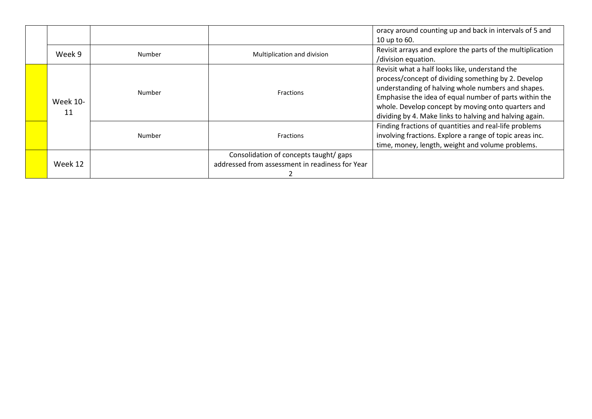|                |        |                                                                                           | oracy around counting up and back in intervals of 5 and                                                                                                                                                                                                                                                                                |
|----------------|--------|-------------------------------------------------------------------------------------------|----------------------------------------------------------------------------------------------------------------------------------------------------------------------------------------------------------------------------------------------------------------------------------------------------------------------------------------|
|                |        |                                                                                           | 10 up to 60.                                                                                                                                                                                                                                                                                                                           |
| Week 9         | Number | Multiplication and division                                                               | Revisit arrays and explore the parts of the multiplication                                                                                                                                                                                                                                                                             |
|                |        |                                                                                           | /division equation.                                                                                                                                                                                                                                                                                                                    |
| Week 10-<br>11 | Number | <b>Fractions</b><br><b>Fractions</b>                                                      | Revisit what a half looks like, understand the<br>process/concept of dividing something by 2. Develop<br>understanding of halving whole numbers and shapes.<br>Emphasise the idea of equal number of parts within the<br>whole. Develop concept by moving onto quarters and<br>dividing by 4. Make links to halving and halving again. |
|                | Number |                                                                                           | Finding fractions of quantities and real-life problems<br>involving fractions. Explore a range of topic areas inc.<br>time, money, length, weight and volume problems.                                                                                                                                                                 |
| Week 12        |        | Consolidation of concepts taught/ gaps<br>addressed from assessment in readiness for Year |                                                                                                                                                                                                                                                                                                                                        |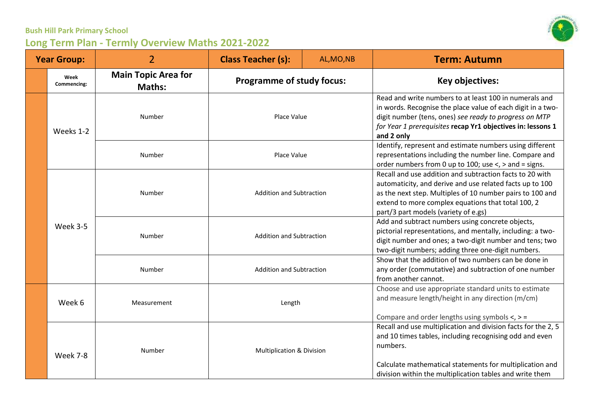

| <b>Year Group:</b> |                     | $\overline{2}$                              | <b>Class Teacher (s):</b>                                                                             | AL, MO, NB | <b>Term: Autumn</b>                                                                                                                                                                                                                                                             |
|--------------------|---------------------|---------------------------------------------|-------------------------------------------------------------------------------------------------------|------------|---------------------------------------------------------------------------------------------------------------------------------------------------------------------------------------------------------------------------------------------------------------------------------|
|                    | Week<br>Commencing: | <b>Main Topic Area for</b><br><b>Maths:</b> | <b>Programme of study focus:</b>                                                                      |            | Key objectives:                                                                                                                                                                                                                                                                 |
|                    | Weeks 1-2           | Number                                      | Place Value<br>Place Value                                                                            |            | Read and write numbers to at least 100 in numerals and<br>in words. Recognise the place value of each digit in a two-<br>digit number (tens, ones) see ready to progress on MTP<br>for Year 1 prerequisites recap Yr1 objectives in: lessons 1<br>and 2 only                    |
|                    |                     | Number                                      |                                                                                                       |            | Identify, represent and estimate numbers using different<br>representations including the number line. Compare and<br>order numbers from 0 up to 100; use $\lt$ , $>$ and = signs.                                                                                              |
|                    |                     | Number                                      | <b>Addition and Subtraction</b><br><b>Addition and Subtraction</b><br><b>Addition and Subtraction</b> |            | Recall and use addition and subtraction facts to 20 with<br>automaticity, and derive and use related facts up to 100<br>as the next step. Multiples of 10 number pairs to 100 and<br>extend to more complex equations that total 100, 2<br>part/3 part models (variety of e.gs) |
|                    | Week 3-5            | Number                                      |                                                                                                       |            | Add and subtract numbers using concrete objects,<br>pictorial representations, and mentally, including: a two-<br>digit number and ones; a two-digit number and tens; two<br>two-digit numbers; adding three one-digit numbers.                                                 |
|                    |                     | Number                                      |                                                                                                       |            | Show that the addition of two numbers can be done in<br>any order (commutative) and subtraction of one number<br>from another cannot.                                                                                                                                           |
|                    | Week 6              | Measurement                                 | Length<br>Multiplication & Division                                                                   |            | Choose and use appropriate standard units to estimate<br>and measure length/height in any direction (m/cm)<br>Compare and order lengths using symbols $\lt$ , $>$ =                                                                                                             |
|                    | Week 7-8            | Number                                      |                                                                                                       |            | Recall and use multiplication and division facts for the 2, 5<br>and 10 times tables, including recognising odd and even<br>numbers.<br>Calculate mathematical statements for multiplication and<br>division within the multiplication tables and write them                    |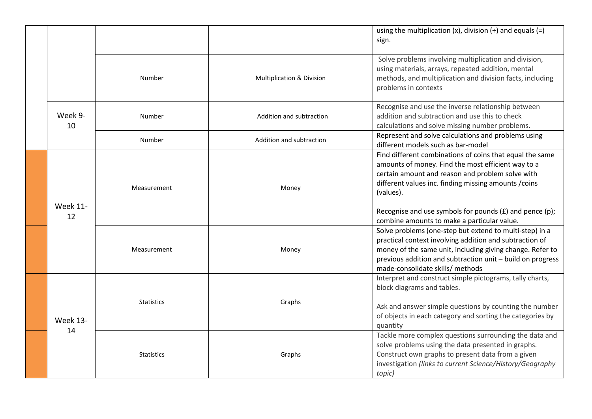|  |                       |                   |                                      | using the multiplication $(x)$ , division $(\div)$ and equals $(=)$<br>sign.                                                                                                                                                                                                                                                                            |
|--|-----------------------|-------------------|--------------------------------------|---------------------------------------------------------------------------------------------------------------------------------------------------------------------------------------------------------------------------------------------------------------------------------------------------------------------------------------------------------|
|  |                       | Number            | <b>Multiplication &amp; Division</b> | Solve problems involving multiplication and division,<br>using materials, arrays, repeated addition, mental<br>methods, and multiplication and division facts, including<br>problems in contexts                                                                                                                                                        |
|  | Week 9-<br>10         | Number            | Addition and subtraction             | Recognise and use the inverse relationship between<br>addition and subtraction and use this to check<br>calculations and solve missing number problems.                                                                                                                                                                                                 |
|  |                       | Number            | Addition and subtraction             | Represent and solve calculations and problems using<br>different models such as bar-model                                                                                                                                                                                                                                                               |
|  | <b>Week 11-</b><br>12 | Measurement       | Money                                | Find different combinations of coins that equal the same<br>amounts of money. Find the most efficient way to a<br>certain amount and reason and problem solve with<br>different values inc. finding missing amounts / coins<br>(values).<br>Recognise and use symbols for pounds $(E)$ and pence $(p)$ ;<br>combine amounts to make a particular value. |
|  |                       | Measurement       | Money                                | Solve problems (one-step but extend to multi-step) in a<br>practical context involving addition and subtraction of<br>money of the same unit, including giving change. Refer to<br>previous addition and subtraction unit - build on progress<br>made-consolidate skills/ methods                                                                       |
|  | <b>Week 13-</b><br>14 | <b>Statistics</b> | Graphs                               | Interpret and construct simple pictograms, tally charts,<br>block diagrams and tables.<br>Ask and answer simple questions by counting the number<br>of objects in each category and sorting the categories by<br>quantity                                                                                                                               |
|  |                       | <b>Statistics</b> | Graphs                               | Tackle more complex questions surrounding the data and<br>solve problems using the data presented in graphs.<br>Construct own graphs to present data from a given<br>investigation (links to current Science/History/Geography<br>topic)                                                                                                                |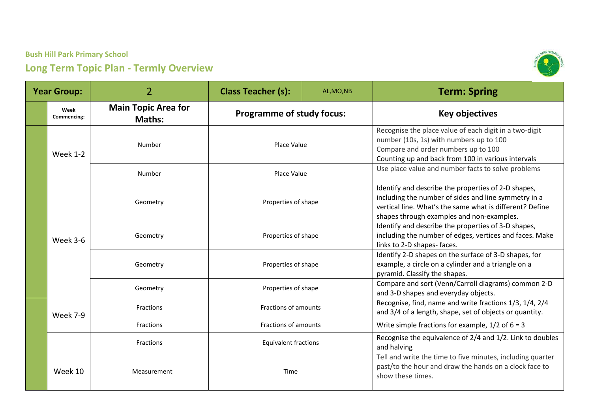

| <b>Year Group:</b> |                     | $\overline{2}$                              | <b>Class Teacher (s):</b>                  | AL, MO, NB | <b>Term: Spring</b>                                                                                                                                                                                                  |
|--------------------|---------------------|---------------------------------------------|--------------------------------------------|------------|----------------------------------------------------------------------------------------------------------------------------------------------------------------------------------------------------------------------|
|                    | Week<br>Commencing: | <b>Main Topic Area for</b><br><b>Maths:</b> | <b>Programme of study focus:</b>           |            | <b>Key objectives</b>                                                                                                                                                                                                |
|                    | <b>Week 1-2</b>     | Number                                      | Place Value                                |            | Recognise the place value of each digit in a two-digit<br>number (10s, 1s) with numbers up to 100<br>Compare and order numbers up to 100<br>Counting up and back from 100 in various intervals                       |
|                    |                     | Number                                      | Place Value                                |            | Use place value and number facts to solve problems                                                                                                                                                                   |
|                    |                     | Geometry                                    | Properties of shape                        |            | Identify and describe the properties of 2-D shapes,<br>including the number of sides and line symmetry in a<br>vertical line. What's the same what is different? Define<br>shapes through examples and non-examples. |
|                    | Week 3-6            | Geometry                                    | Properties of shape                        |            | Identify and describe the properties of 3-D shapes,<br>including the number of edges, vertices and faces. Make<br>links to 2-D shapes-faces.                                                                         |
|                    |                     | Geometry                                    | Properties of shape<br>Properties of shape |            | Identify 2-D shapes on the surface of 3-D shapes, for<br>example, a circle on a cylinder and a triangle on a<br>pyramid. Classify the shapes.                                                                        |
|                    |                     | Geometry                                    |                                            |            | Compare and sort (Venn/Carroll diagrams) common 2-D<br>and 3-D shapes and everyday objects.                                                                                                                          |
|                    | Week 7-9            | Fractions                                   | Fractions of amounts                       |            | Recognise, find, name and write fractions 1/3, 1/4, 2/4<br>and 3/4 of a length, shape, set of objects or quantity.                                                                                                   |
|                    |                     | Fractions                                   | Fractions of amounts                       |            | Write simple fractions for example, $1/2$ of $6 = 3$                                                                                                                                                                 |
|                    |                     | Fractions                                   | <b>Equivalent fractions</b><br>Time        |            | Recognise the equivalence of 2/4 and 1/2. Link to doubles<br>and halving                                                                                                                                             |
|                    | Week 10             | Measurement                                 |                                            |            | Tell and write the time to five minutes, including quarter<br>past/to the hour and draw the hands on a clock face to<br>show these times.                                                                            |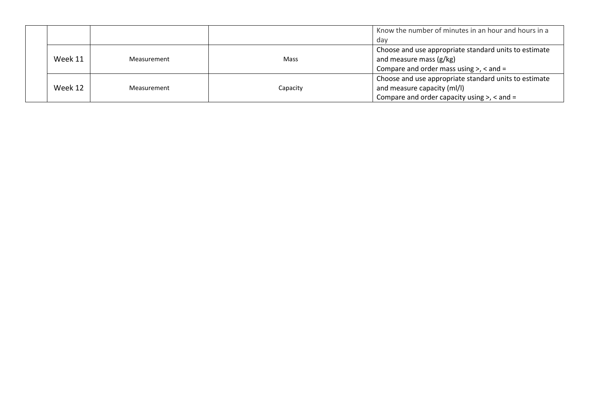|         |             |          | Know the number of minutes in an hour and hours in a  |
|---------|-------------|----------|-------------------------------------------------------|
|         |             |          | dav                                                   |
|         |             |          | Choose and use appropriate standard units to estimate |
| Week 11 | Measurement | Mass     | and measure mass (g/kg)                               |
|         |             |          | Compare and order mass using $>$ , $<$ and $=$        |
|         |             |          | Choose and use appropriate standard units to estimate |
| Week 12 | Measurement | Capacity | and measure capacity (ml/l)                           |
|         |             |          | Compare and order capacity using $>$ , $<$ and $=$    |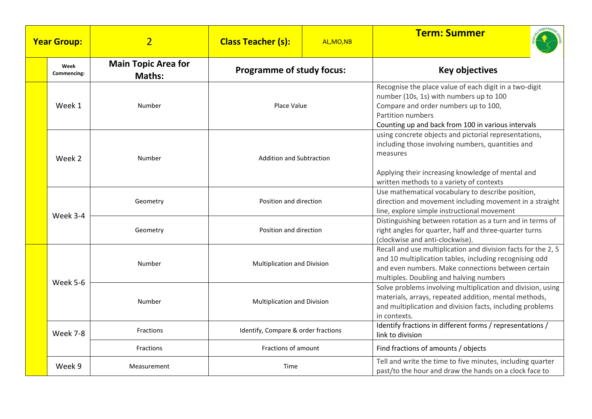|  | <b>Year Group:</b>  | $\overline{2}$                              | <b>Class Teacher (s):</b>                        | AL, MO, NB | <b>Term: Summer</b>                                                                                                                                                                                                       |
|--|---------------------|---------------------------------------------|--------------------------------------------------|------------|---------------------------------------------------------------------------------------------------------------------------------------------------------------------------------------------------------------------------|
|  | Week<br>Commencing: | <b>Main Topic Area for</b><br><b>Maths:</b> | <b>Programme of study focus:</b>                 |            | <b>Key objectives</b>                                                                                                                                                                                                     |
|  | Week 1              | Number                                      | Place Value<br><b>Addition and Subtraction</b>   |            | Recognise the place value of each digit in a two-digit<br>number (10s, 1s) with numbers up to 100<br>Compare and order numbers up to 100,<br>Partition numbers<br>Counting up and back from 100 in various intervals      |
|  | Week 2              | Number                                      |                                                  |            | using concrete objects and pictorial representations,<br>including those involving numbers, quantities and<br>measures<br>Applying their increasing knowledge of mental and<br>written methods to a variety of contexts   |
|  |                     | Geometry                                    | Position and direction<br>Position and direction |            | Use mathematical vocabulary to describe position,<br>direction and movement including movement in a straight<br>line, explore simple instructional movement                                                               |
|  | Week 3-4            | Geometry                                    |                                                  |            | Distinguishing between rotation as a turn and in terms of<br>right angles for quarter, half and three-quarter turns<br>(clockwise and anti-clockwise).                                                                    |
|  | Week 5-6            | Number                                      | Multiplication and Division                      |            | Recall and use multiplication and division facts for the 2, 5<br>and 10 multiplication tables, including recognising odd<br>and even numbers. Make connections between certain<br>multiples. Doubling and halving numbers |
|  |                     | Number                                      | <b>Multiplication and Division</b>               |            | Solve problems involving multiplication and division, using<br>materials, arrays, repeated addition, mental methods,<br>and multiplication and division facts, including problems<br>in contexts.                         |
|  | Week 7-8            | <b>Fractions</b>                            | Identify, Compare & order fractions              |            | Identify fractions in different forms / representations /<br>link to division                                                                                                                                             |
|  |                     | <b>Fractions</b>                            | Fractions of amount                              |            | Find fractions of amounts / objects                                                                                                                                                                                       |
|  | Week 9              | Measurement                                 | Time                                             |            | Tell and write the time to five minutes, including quarter<br>past/to the hour and draw the hands on a clock face to                                                                                                      |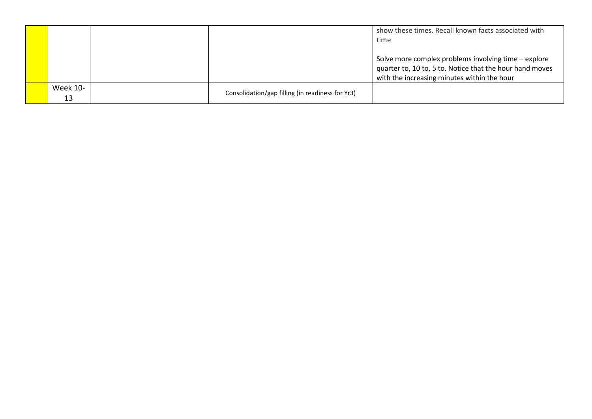|          |                                                  | show these times. Recall known facts associated with<br>time                                                     |
|----------|--------------------------------------------------|------------------------------------------------------------------------------------------------------------------|
|          |                                                  |                                                                                                                  |
|          |                                                  | Solve more complex problems involving time – explore<br>quarter to, 10 to, 5 to. Notice that the hour hand moves |
|          |                                                  | with the increasing minutes within the hour                                                                      |
| Week 10- | Consolidation/gap filling (in readiness for Yr3) |                                                                                                                  |
| 13       |                                                  |                                                                                                                  |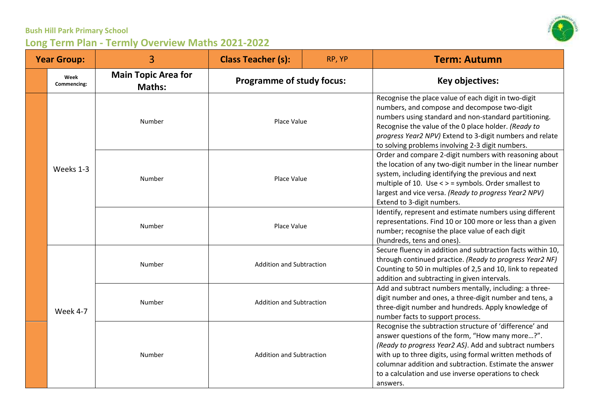| <b>Year Group:</b> |                     | 3                                           | <b>Class Teacher (s):</b>                                          | RP, YP | <b>Term: Autumn</b>                                                                                                                                                                                                                                                                                                                                            |
|--------------------|---------------------|---------------------------------------------|--------------------------------------------------------------------|--------|----------------------------------------------------------------------------------------------------------------------------------------------------------------------------------------------------------------------------------------------------------------------------------------------------------------------------------------------------------------|
|                    | Week<br>Commencing: | <b>Main Topic Area for</b><br><b>Maths:</b> | <b>Programme of study focus:</b>                                   |        | <b>Key objectives:</b>                                                                                                                                                                                                                                                                                                                                         |
|                    |                     | Number                                      | Place Value<br>Place Value<br>Place Value                          |        | Recognise the place value of each digit in two-digit<br>numbers, and compose and decompose two-digit<br>numbers using standard and non-standard partitioning.<br>Recognise the value of the 0 place holder. (Ready to<br>progress Year2 NPV) Extend to 3-digit numbers and relate<br>to solving problems involving 2-3 digit numbers.                          |
|                    | Weeks 1-3           | Number                                      |                                                                    |        | Order and compare 2-digit numbers with reasoning about<br>the location of any two-digit number in the linear number<br>system, including identifying the previous and next<br>multiple of 10. Use < > = symbols. Order smallest to<br>largest and vice versa. (Ready to progress Year2 NPV)<br>Extend to 3-digit numbers.                                      |
|                    |                     | Number                                      |                                                                    |        | Identify, represent and estimate numbers using different<br>representations. Find 10 or 100 more or less than a given<br>number; recognise the place value of each digit<br>(hundreds, tens and ones).                                                                                                                                                         |
|                    | Week 4-7            | Number                                      | <b>Addition and Subtraction</b>                                    |        | Secure fluency in addition and subtraction facts within 10,<br>through continued practice. (Ready to progress Year2 NF)<br>Counting to 50 in multiples of 2,5 and 10, link to repeated<br>addition and subtracting in given intervals.                                                                                                                         |
|                    |                     | Number                                      | <b>Addition and Subtraction</b><br><b>Addition and Subtraction</b> |        | Add and subtract numbers mentally, including: a three-<br>digit number and ones, a three-digit number and tens, a<br>three-digit number and hundreds. Apply knowledge of<br>number facts to support process.                                                                                                                                                   |
|                    |                     | Number                                      |                                                                    |        | Recognise the subtraction structure of 'difference' and<br>answer questions of the form, "How many more?".<br>(Ready to progress Year2 AS). Add and subtract numbers<br>with up to three digits, using formal written methods of<br>columnar addition and subtraction. Estimate the answer<br>to a calculation and use inverse operations to check<br>answers. |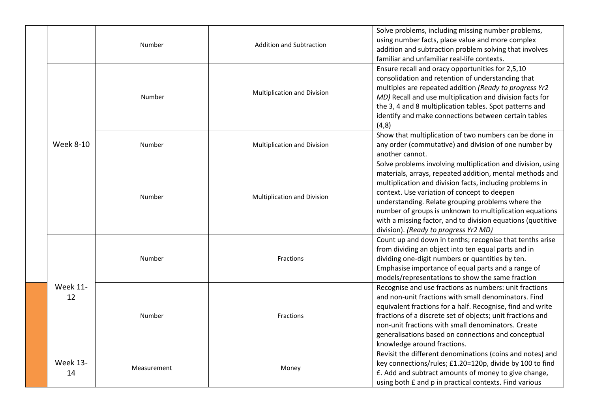|                       | Number      | <b>Addition and Subtraction</b> | Solve problems, including missing number problems,<br>using number facts, place value and more complex<br>addition and subtraction problem solving that involves<br>familiar and unfamiliar real-life contexts.                                                                                                                                                                                                                                            |
|-----------------------|-------------|---------------------------------|------------------------------------------------------------------------------------------------------------------------------------------------------------------------------------------------------------------------------------------------------------------------------------------------------------------------------------------------------------------------------------------------------------------------------------------------------------|
|                       | Number      | Multiplication and Division     | Ensure recall and oracy opportunities for 2,5,10<br>consolidation and retention of understanding that<br>multiples are repeated addition (Ready to progress Yr2<br>MD) Recall and use multiplication and division facts for<br>the 3, 4 and 8 multiplication tables. Spot patterns and<br>identify and make connections between certain tables<br>(4,8)                                                                                                    |
| <b>Week 8-10</b>      | Number      | Multiplication and Division     | Show that multiplication of two numbers can be done in<br>any order (commutative) and division of one number by<br>another cannot.                                                                                                                                                                                                                                                                                                                         |
|                       | Number      | Multiplication and Division     | Solve problems involving multiplication and division, using<br>materials, arrays, repeated addition, mental methods and<br>multiplication and division facts, including problems in<br>context. Use variation of concept to deepen<br>understanding. Relate grouping problems where the<br>number of groups is unknown to multiplication equations<br>with a missing factor, and to division equations (quotitive<br>division). (Ready to progress Yr2 MD) |
|                       | Number      | Fractions                       | Count up and down in tenths; recognise that tenths arise<br>from dividing an object into ten equal parts and in<br>dividing one-digit numbers or quantities by ten.<br>Emphasise importance of equal parts and a range of<br>models/representations to show the same fraction                                                                                                                                                                              |
| <b>Week 11-</b><br>12 | Number      | <b>Fractions</b>                | Recognise and use fractions as numbers: unit fractions<br>and non-unit fractions with small denominators. Find<br>equivalent fractions for a half. Recognise, find and write<br>fractions of a discrete set of objects; unit fractions and<br>non-unit fractions with small denominators. Create<br>generalisations based on connections and conceptual<br>knowledge around fractions.                                                                     |
| <b>Week 13-</b><br>14 | Measurement | Money                           | Revisit the different denominations (coins and notes) and<br>key connections/rules; £1.20=120p, divide by 100 to find<br>£. Add and subtract amounts of money to give change,<br>using both £ and p in practical contexts. Find various                                                                                                                                                                                                                    |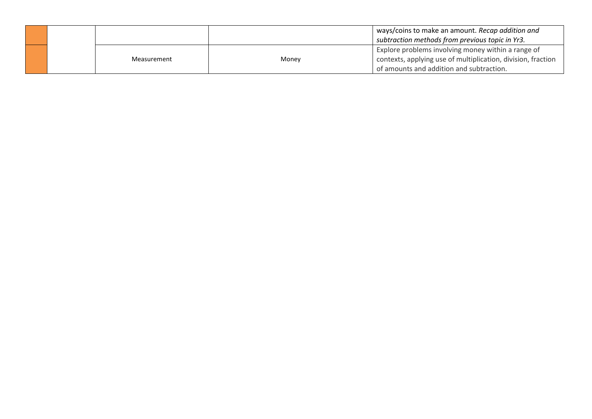|  |             |       | ways/coins to make an amount. Recap addition and<br>subtraction methods from previous topic in Yr3.                                                            |
|--|-------------|-------|----------------------------------------------------------------------------------------------------------------------------------------------------------------|
|  | Measurement | Money | Explore problems involving money within a range of<br>contexts, applying use of multiplication, division, fraction<br>of amounts and addition and subtraction. |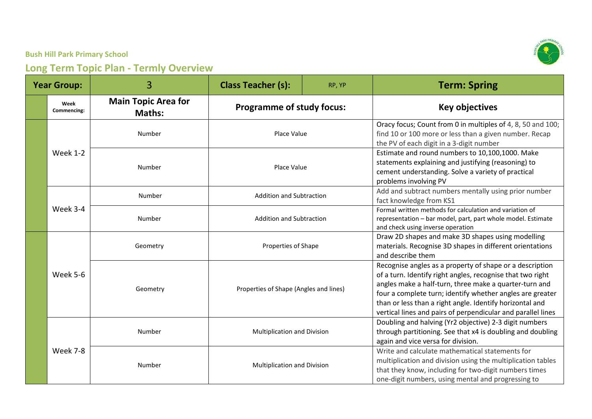| <b>Year Group:</b> |                     | 3                                           | <b>Class Teacher (s):</b>                                     | RP, YP | <b>Term: Spring</b>                                                                                                                                                                                                                                                                                                                                                       |
|--------------------|---------------------|---------------------------------------------|---------------------------------------------------------------|--------|---------------------------------------------------------------------------------------------------------------------------------------------------------------------------------------------------------------------------------------------------------------------------------------------------------------------------------------------------------------------------|
|                    | Week<br>Commencing: | <b>Main Topic Area for</b><br><b>Maths:</b> | <b>Programme of study focus:</b>                              |        | <b>Key objectives</b>                                                                                                                                                                                                                                                                                                                                                     |
|                    |                     | Number                                      | Place Value                                                   |        | Oracy focus; Count from 0 in multiples of 4, 8, 50 and 100;<br>find 10 or 100 more or less than a given number. Recap<br>the PV of each digit in a 3-digit number                                                                                                                                                                                                         |
|                    | <b>Week 1-2</b>     | Number                                      | Place Value                                                   |        | Estimate and round numbers to 10,100,1000. Make<br>statements explaining and justifying (reasoning) to<br>cement understanding. Solve a variety of practical<br>problems involving PV                                                                                                                                                                                     |
|                    |                     | Number                                      | <b>Addition and Subtraction</b>                               |        | Add and subtract numbers mentally using prior number<br>fact knowledge from KS1                                                                                                                                                                                                                                                                                           |
|                    | Week 3-4            | Number                                      | <b>Addition and Subtraction</b>                               |        | Formal written methods for calculation and variation of<br>representation - bar model, part, part whole model. Estimate<br>and check using inverse operation                                                                                                                                                                                                              |
|                    | Week 5-6            | Geometry                                    | Properties of Shape<br>Properties of Shape (Angles and lines) |        | Draw 2D shapes and make 3D shapes using modelling<br>materials. Recognise 3D shapes in different orientations<br>and describe them                                                                                                                                                                                                                                        |
|                    |                     | Geometry                                    |                                                               |        | Recognise angles as a property of shape or a description<br>of a turn. Identify right angles, recognise that two right<br>angles make a half-turn, three make a quarter-turn and<br>four a complete turn; identify whether angles are greater<br>than or less than a right angle. Identify horizontal and<br>vertical lines and pairs of perpendicular and parallel lines |
|                    |                     | Number                                      | Multiplication and Division                                   |        | Doubling and halving (Yr2 objective) 2-3 digit numbers<br>through partitioning. See that x4 is doubling and doubling<br>again and vice versa for division.                                                                                                                                                                                                                |
|                    | Week 7-8            | Number                                      | Multiplication and Division                                   |        | Write and calculate mathematical statements for<br>multiplication and division using the multiplication tables<br>that they know, including for two-digit numbers times<br>one-digit numbers, using mental and progressing to                                                                                                                                             |

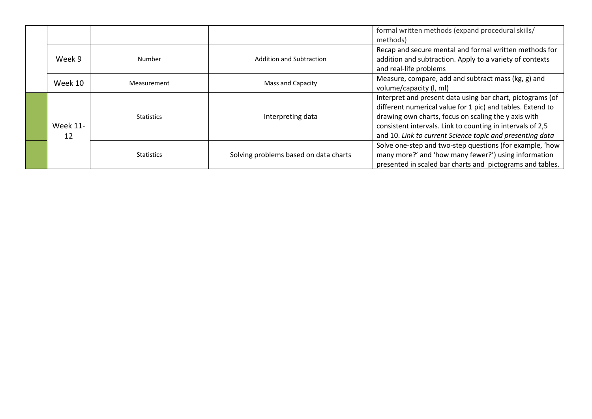|  |                       |                   |                                       | formal written methods (expand procedural skills/<br>methods)                                                                                                                                                                                                                                               |
|--|-----------------------|-------------------|---------------------------------------|-------------------------------------------------------------------------------------------------------------------------------------------------------------------------------------------------------------------------------------------------------------------------------------------------------------|
|  | Week 9                | Number            | Addition and Subtraction              | Recap and secure mental and formal written methods for<br>addition and subtraction. Apply to a variety of contexts<br>and real-life problems                                                                                                                                                                |
|  | Week 10               | Measurement       | Mass and Capacity                     | Measure, compare, add and subtract mass (kg, g) and<br>volume/capacity (I, mI)                                                                                                                                                                                                                              |
|  | <b>Week 11-</b><br>12 | <b>Statistics</b> | Interpreting data                     | Interpret and present data using bar chart, pictograms (of<br>different numerical value for 1 pic) and tables. Extend to<br>drawing own charts, focus on scaling the y axis with<br>consistent intervals. Link to counting in intervals of 2,5<br>and 10. Link to current Science topic and presenting data |
|  |                       | <b>Statistics</b> | Solving problems based on data charts | Solve one-step and two-step questions (for example, 'how<br>many more?' and 'how many fewer?') using information<br>presented in scaled bar charts and pictograms and tables.                                                                                                                               |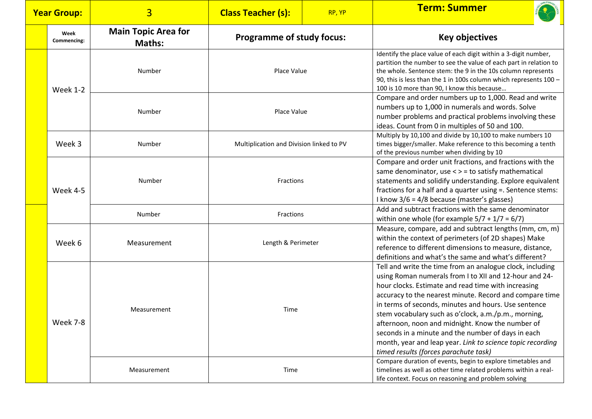| <b>Year Group:</b> |                     | $\overline{3}$                              | <b>Class Teacher (s):</b>                | RP, YP | <b>Term: Summer</b>                                                                                                                                                                                                                                                                                                                                                                                                                                                                                                                                                    |
|--------------------|---------------------|---------------------------------------------|------------------------------------------|--------|------------------------------------------------------------------------------------------------------------------------------------------------------------------------------------------------------------------------------------------------------------------------------------------------------------------------------------------------------------------------------------------------------------------------------------------------------------------------------------------------------------------------------------------------------------------------|
|                    | Week<br>Commencing: | <b>Main Topic Area for</b><br><b>Maths:</b> | <b>Programme of study focus:</b>         |        | <b>Key objectives</b>                                                                                                                                                                                                                                                                                                                                                                                                                                                                                                                                                  |
|                    | <b>Week 1-2</b>     | Number                                      | Place Value                              |        | Identify the place value of each digit within a 3-digit number,<br>partition the number to see the value of each part in relation to<br>the whole. Sentence stem: the 9 in the 10s column represents<br>90, this is less than the 1 in 100s column which represents 100 -<br>100 is 10 more than 90, I know this because                                                                                                                                                                                                                                               |
|                    |                     | Number                                      | Place Value                              |        | Compare and order numbers up to 1,000. Read and write<br>numbers up to 1,000 in numerals and words. Solve<br>number problems and practical problems involving these<br>ideas. Count from 0 in multiples of 50 and 100.                                                                                                                                                                                                                                                                                                                                                 |
|                    | Week 3              | Number                                      | Multiplication and Division linked to PV |        | Multiply by 10,100 and divide by 10,100 to make numbers 10<br>times bigger/smaller. Make reference to this becoming a tenth<br>of the previous number when dividing by 10                                                                                                                                                                                                                                                                                                                                                                                              |
|                    | Week 4-5            | Number                                      | Fractions                                |        | Compare and order unit fractions, and fractions with the<br>same denominator, use < > = to satisfy mathematical<br>statements and solidify understanding. Explore equivalent<br>fractions for a half and a quarter using =. Sentence stems:<br>I know 3/6 = 4/8 because (master's glasses)                                                                                                                                                                                                                                                                             |
|                    |                     | Number                                      | Fractions                                |        | Add and subtract fractions with the same denominator<br>within one whole (for example $5/7 + 1/7 = 6/7$ )                                                                                                                                                                                                                                                                                                                                                                                                                                                              |
|                    | Week 6              | Measurement                                 | Length & Perimeter                       |        | Measure, compare, add and subtract lengths (mm, cm, m)<br>within the context of perimeters (of 2D shapes) Make<br>reference to different dimensions to measure, distance,<br>definitions and what's the same and what's different?                                                                                                                                                                                                                                                                                                                                     |
|                    | Week 7-8            | Measurement                                 | Time                                     |        | Tell and write the time from an analogue clock, including<br>using Roman numerals from I to XII and 12-hour and 24-<br>hour clocks. Estimate and read time with increasing<br>accuracy to the nearest minute. Record and compare time<br>in terms of seconds, minutes and hours. Use sentence<br>stem vocabulary such as o'clock, a.m./p.m., morning,<br>afternoon, noon and midnight. Know the number of<br>seconds in a minute and the number of days in each<br>month, year and leap year. Link to science topic recording<br>timed results (forces parachute task) |
|                    |                     | Measurement                                 | Time                                     |        | Compare duration of events, begin to explore timetables and<br>timelines as well as other time related problems within a real-<br>life context. Focus on reasoning and problem solving                                                                                                                                                                                                                                                                                                                                                                                 |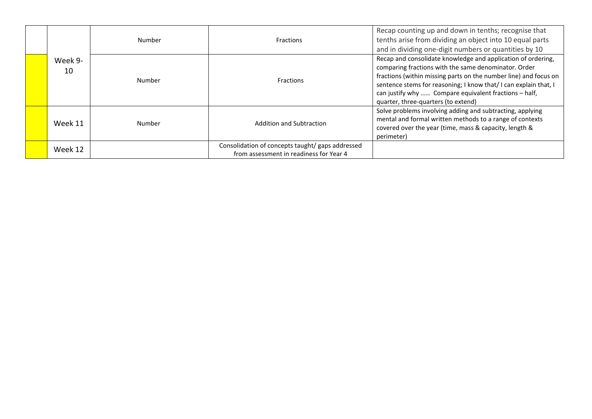|               | Number | Fractions                                                                                   | Recap counting up and down in tenths; recognise that<br>tenths arise from dividing an object into 10 equal parts<br>and in dividing one-digit numbers or quantities by 10                                                                                                                                                                                   |
|---------------|--------|---------------------------------------------------------------------------------------------|-------------------------------------------------------------------------------------------------------------------------------------------------------------------------------------------------------------------------------------------------------------------------------------------------------------------------------------------------------------|
| Week 9-<br>10 | Number | Fractions                                                                                   | Recap and consolidate knowledge and application of ordering,<br>comparing fractions with the same denominator. Order<br>fractions (within missing parts on the number line) and focus on<br>sentence stems for reasoning; I know that/I can explain that, I<br>can justify why  Compare equivalent fractions - half,<br>quarter, three-quarters (to extend) |
| Week 11       | Number | Addition and Subtraction                                                                    | Solve problems involving adding and subtracting, applying<br>mental and formal written methods to a range of contexts<br>covered over the year (time, mass & capacity, length &<br>perimeter)                                                                                                                                                               |
| Week 12       |        | Consolidation of concepts taught/ gaps addressed<br>from assessment in readiness for Year 4 |                                                                                                                                                                                                                                                                                                                                                             |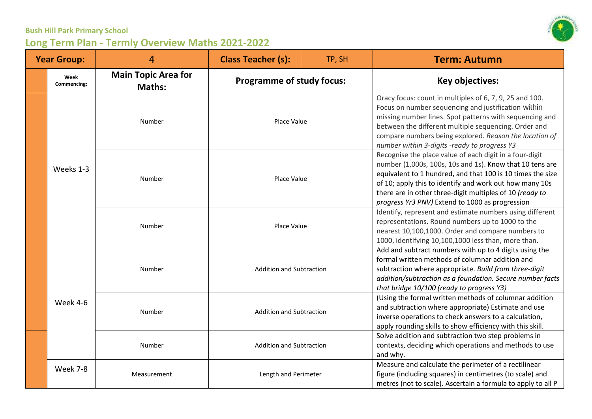

| <b>Year Group:</b> |                     | 4                                           | <b>Class Teacher (s):</b>        | TP, SH | <b>Term: Autumn</b>                                                                                                                                                                                                                                                                                                                                         |
|--------------------|---------------------|---------------------------------------------|----------------------------------|--------|-------------------------------------------------------------------------------------------------------------------------------------------------------------------------------------------------------------------------------------------------------------------------------------------------------------------------------------------------------------|
|                    | Week<br>Commencing: | <b>Main Topic Area for</b><br><b>Maths:</b> | <b>Programme of study focus:</b> |        | Key objectives:                                                                                                                                                                                                                                                                                                                                             |
|                    | Weeks 1-3           | Number                                      | Place Value                      |        | Oracy focus: count in multiples of 6, 7, 9, 25 and 100.<br>Focus on number sequencing and justification within<br>missing number lines. Spot patterns with sequencing and<br>between the different multiple sequencing. Order and<br>compare numbers being explored. Reason the location of<br>number within 3-digits -ready to progress Y3                 |
|                    |                     | Number                                      | Place Value<br>Place Value       |        | Recognise the place value of each digit in a four-digit<br>number (1,000s, 100s, 10s and 1s). Know that 10 tens are<br>equivalent to 1 hundred, and that 100 is 10 times the size<br>of 10; apply this to identify and work out how many 10s<br>there are in other three-digit multiples of 10 (ready to<br>progress Yr3 PNV) Extend to 1000 as progression |
|                    |                     | Number                                      |                                  |        | Identify, represent and estimate numbers using different<br>representations. Round numbers up to 1000 to the<br>nearest 10,100,1000. Order and compare numbers to<br>1000, identifying 10,100,1000 less than, more than.                                                                                                                                    |
|                    |                     | Number                                      | <b>Addition and Subtraction</b>  |        | Add and subtract numbers with up to 4 digits using the<br>formal written methods of columnar addition and<br>subtraction where appropriate. Build from three-digit<br>addition/subtraction as a foundation. Secure number facts<br>that bridge 10/100 (ready to progress Y3)                                                                                |
|                    | Week 4-6            | Number                                      | <b>Addition and Subtraction</b>  |        | (Using the formal written methods of columnar addition<br>and subtraction where appropriate) Estimate and use<br>inverse operations to check answers to a calculation,<br>apply rounding skills to show efficiency with this skill.                                                                                                                         |
|                    |                     | Number                                      | <b>Addition and Subtraction</b>  |        | Solve addition and subtraction two step problems in<br>contexts, deciding which operations and methods to use<br>and why.                                                                                                                                                                                                                                   |
|                    | Week 7-8            | Measurement                                 | Length and Perimeter             |        | Measure and calculate the perimeter of a rectilinear<br>figure (including squares) in centimetres (to scale) and<br>metres (not to scale). Ascertain a formula to apply to all P                                                                                                                                                                            |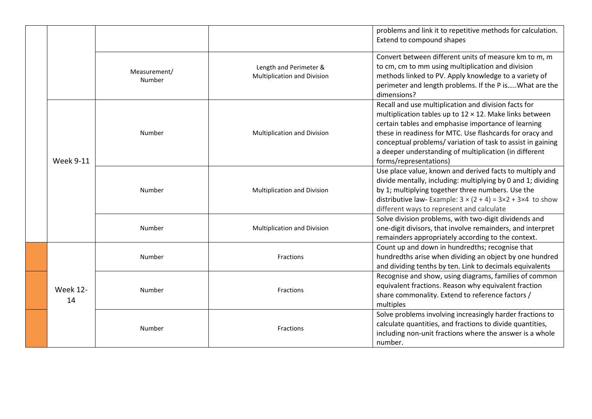|  |                       |                        |                                                       | problems and link it to repetitive methods for calculation.<br>Extend to compound shapes                                                                                                                                                                                                                                                                                                     |
|--|-----------------------|------------------------|-------------------------------------------------------|----------------------------------------------------------------------------------------------------------------------------------------------------------------------------------------------------------------------------------------------------------------------------------------------------------------------------------------------------------------------------------------------|
|  |                       | Measurement/<br>Number | Length and Perimeter &<br>Multiplication and Division | Convert between different units of measure km to m, m<br>to cm, cm to mm using multiplication and division<br>methods linked to PV. Apply knowledge to a variety of<br>perimeter and length problems. If the P is What are the<br>dimensions?                                                                                                                                                |
|  | <b>Week 9-11</b>      | Number                 | Multiplication and Division                           | Recall and use multiplication and division facts for<br>multiplication tables up to $12 \times 12$ . Make links between<br>certain tables and emphasise importance of learning<br>these in readiness for MTC. Use flashcards for oracy and<br>conceptual problems/variation of task to assist in gaining<br>a deeper understanding of multiplication (in different<br>forms/representations) |
|  |                       | Number                 | Multiplication and Division                           | Use place value, known and derived facts to multiply and<br>divide mentally, including: multiplying by 0 and 1; dividing<br>by 1; multiplying together three numbers. Use the<br>distributive law-Example: $3 \times (2 + 4) = 3 \times 2 + 3 \times 4$ to show<br>different ways to represent and calculate                                                                                 |
|  |                       | Number                 | Multiplication and Division                           | Solve division problems, with two-digit dividends and<br>one-digit divisors, that involve remainders, and interpret<br>remainders appropriately according to the context.                                                                                                                                                                                                                    |
|  |                       | Number                 | Fractions                                             | Count up and down in hundredths; recognise that<br>hundredths arise when dividing an object by one hundred<br>and dividing tenths by ten. Link to decimals equivalents                                                                                                                                                                                                                       |
|  | <b>Week 12-</b><br>14 | Number                 | Fractions                                             | Recognise and show, using diagrams, families of common<br>equivalent fractions. Reason why equivalent fraction<br>share commonality. Extend to reference factors /<br>multiples                                                                                                                                                                                                              |
|  |                       | Number                 | Fractions                                             | Solve problems involving increasingly harder fractions to<br>calculate quantities, and fractions to divide quantities,<br>including non-unit fractions where the answer is a whole<br>number.                                                                                                                                                                                                |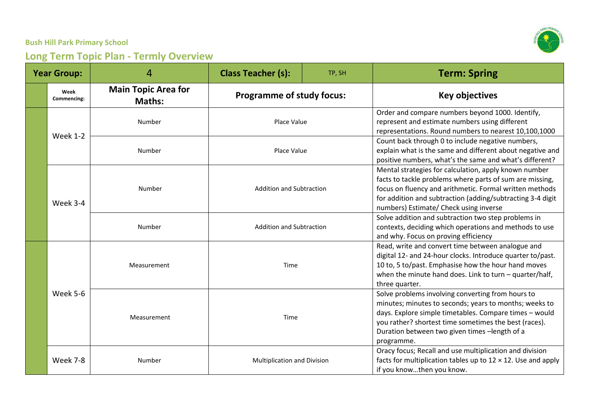

| <b>Year Group:</b> |                     | 4                                           | <b>Class Teacher (s):</b>        | TP, SH | <b>Term: Spring</b>                                                                                                                                                                                                                                                                           |
|--------------------|---------------------|---------------------------------------------|----------------------------------|--------|-----------------------------------------------------------------------------------------------------------------------------------------------------------------------------------------------------------------------------------------------------------------------------------------------|
|                    | Week<br>Commencing: | <b>Main Topic Area for</b><br><b>Maths:</b> | <b>Programme of study focus:</b> |        | <b>Key objectives</b>                                                                                                                                                                                                                                                                         |
|                    | <b>Week 1-2</b>     | Number                                      | Place Value                      |        | Order and compare numbers beyond 1000. Identify,<br>represent and estimate numbers using different<br>representations. Round numbers to nearest 10,100,1000                                                                                                                                   |
|                    |                     | Number                                      | Place Value                      |        | Count back through 0 to include negative numbers,<br>explain what is the same and different about negative and<br>positive numbers, what's the same and what's different?                                                                                                                     |
|                    | Week 3-4            | Number                                      | <b>Addition and Subtraction</b>  |        | Mental strategies for calculation, apply known number<br>facts to tackle problems where parts of sum are missing,<br>focus on fluency and arithmetic. Formal written methods<br>for addition and subtraction (adding/subtracting 3-4 digit<br>numbers) Estimate/ Check using inverse          |
|                    |                     | Number                                      | <b>Addition and Subtraction</b>  |        | Solve addition and subtraction two step problems in<br>contexts, deciding which operations and methods to use<br>and why. Focus on proving efficiency                                                                                                                                         |
|                    | Week 5-6            | Measurement                                 | Time<br>Time                     |        | Read, write and convert time between analogue and<br>digital 12- and 24-hour clocks. Introduce quarter to/past.<br>10 to, 5 to/past. Emphasise how the hour hand moves<br>when the minute hand does. Link to turn - quarter/half,<br>three quarter.                                           |
|                    |                     | Measurement                                 |                                  |        | Solve problems involving converting from hours to<br>minutes; minutes to seconds; years to months; weeks to<br>days. Explore simple timetables. Compare times - would<br>you rather? shortest time sometimes the best (races).<br>Duration between two given times -length of a<br>programme. |
|                    | Week 7-8            | Number                                      | Multiplication and Division      |        | Oracy focus; Recall and use multiplication and division<br>facts for multiplication tables up to $12 \times 12$ . Use and apply<br>if you knowthen you know.                                                                                                                                  |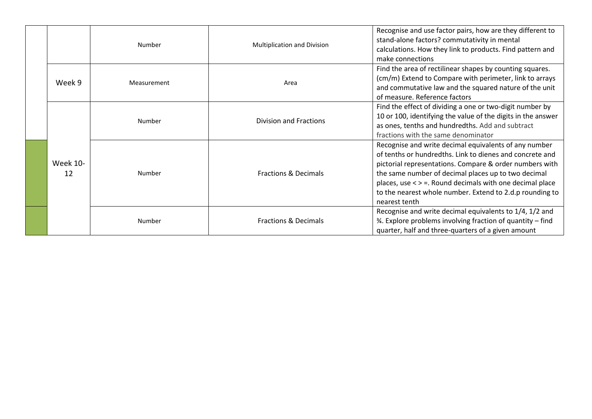|                       | Number      | Multiplication and Division     | Recognise and use factor pairs, how are they different to<br>stand-alone factors? commutativity in mental<br>calculations. How they link to products. Find pattern and<br>make connections                                                                                                                                                                                   |
|-----------------------|-------------|---------------------------------|------------------------------------------------------------------------------------------------------------------------------------------------------------------------------------------------------------------------------------------------------------------------------------------------------------------------------------------------------------------------------|
| Week 9                | Measurement | Area                            | Find the area of rectilinear shapes by counting squares.<br>(cm/m) Extend to Compare with perimeter, link to arrays<br>and commutative law and the squared nature of the unit<br>of measure. Reference factors                                                                                                                                                               |
|                       | Number      | <b>Division and Fractions</b>   | Find the effect of dividing a one or two-digit number by<br>10 or 100, identifying the value of the digits in the answer<br>as ones, tenths and hundredths. Add and subtract<br>fractions with the same denominator                                                                                                                                                          |
| <b>Week 10-</b><br>12 | Number      | <b>Fractions &amp; Decimals</b> | Recognise and write decimal equivalents of any number<br>of tenths or hundredths. Link to dienes and concrete and<br>pictorial representations. Compare & order numbers with<br>the same number of decimal places up to two decimal<br>places, use < > =. Round decimals with one decimal place<br>to the nearest whole number. Extend to 2.d.p rounding to<br>nearest tenth |
|                       | Number      | <b>Fractions &amp; Decimals</b> | Recognise and write decimal equivalents to 1/4, 1/2 and<br>3⁄4. Explore problems involving fraction of quantity – find<br>quarter, half and three-quarters of a given amount                                                                                                                                                                                                 |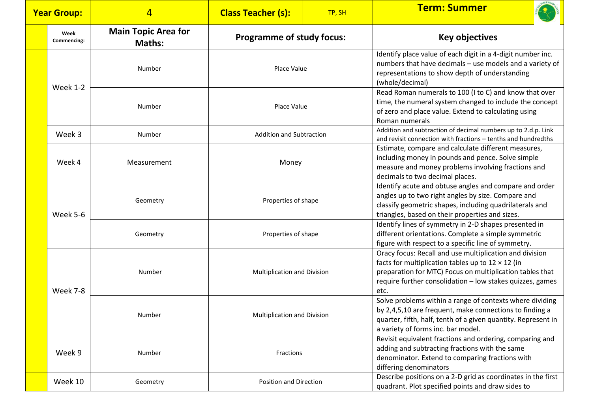|  | <b>Year Group:</b>  | $\overline{4}$                              | <b>Class Teacher (s):</b>          | TP, SH | <b>Term: Summer</b>                                                                                                                                                                                                                                  |
|--|---------------------|---------------------------------------------|------------------------------------|--------|------------------------------------------------------------------------------------------------------------------------------------------------------------------------------------------------------------------------------------------------------|
|  | Week<br>Commencing: | <b>Main Topic Area for</b><br><b>Maths:</b> | <b>Programme of study focus:</b>   |        | <b>Key objectives</b>                                                                                                                                                                                                                                |
|  | <b>Week 1-2</b>     | Number                                      | Place Value                        |        | Identify place value of each digit in a 4-digit number inc.<br>numbers that have decimals - use models and a variety of<br>representations to show depth of understanding<br>(whole/decimal)                                                         |
|  |                     | Number                                      | Place Value                        |        | Read Roman numerals to 100 (I to C) and know that over<br>time, the numeral system changed to include the concept<br>of zero and place value. Extend to calculating using<br>Roman numerals                                                          |
|  | Week 3              | Number                                      | <b>Addition and Subtraction</b>    |        | Addition and subtraction of decimal numbers up to 2.d.p. Link<br>and revisit connection with fractions - tenths and hundredths                                                                                                                       |
|  | Week 4              | Measurement                                 | Money                              |        | Estimate, compare and calculate different measures,<br>including money in pounds and pence. Solve simple<br>measure and money problems involving fractions and<br>decimals to two decimal places.                                                    |
|  | Week 5-6            | Geometry                                    | Properties of shape                |        | Identify acute and obtuse angles and compare and order<br>angles up to two right angles by size. Compare and<br>classify geometric shapes, including quadrilaterals and<br>triangles, based on their properties and sizes.                           |
|  |                     | Geometry                                    | Properties of shape                |        | Identify lines of symmetry in 2-D shapes presented in<br>different orientations. Complete a simple symmetric<br>figure with respect to a specific line of symmetry.                                                                                  |
|  | Week 7-8            | Number                                      | Multiplication and Division        |        | Oracy focus: Recall and use multiplication and division<br>facts for multiplication tables up to $12 \times 12$ (in<br>preparation for MTC) Focus on multiplication tables that<br>require further consolidation - low stakes quizzes, games<br>etc. |
|  |                     | Number                                      | <b>Multiplication and Division</b> |        | Solve problems within a range of contexts where dividing<br>by 2,4,5,10 are frequent, make connections to finding a<br>quarter, fifth, half, tenth of a given quantity. Represent in<br>a variety of forms inc. bar model.                           |
|  | Week 9              | Number                                      | Fractions                          |        | Revisit equivalent fractions and ordering, comparing and<br>adding and subtracting fractions with the same<br>denominator. Extend to comparing fractions with<br>differing denominators                                                              |
|  | Week 10             | Geometry                                    | Position and Direction             |        | Describe positions on a 2-D grid as coordinates in the first<br>quadrant. Plot specified points and draw sides to                                                                                                                                    |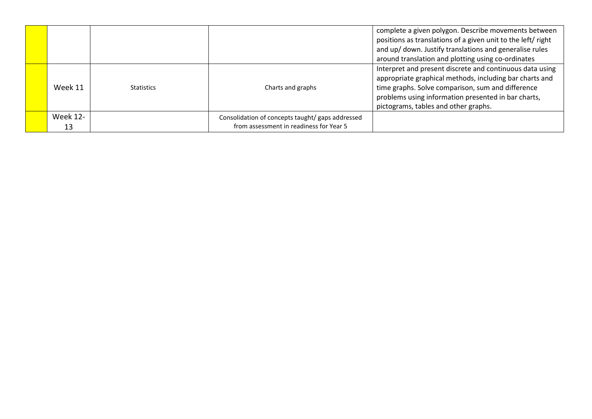|                |                   |                                                                                             | complete a given polygon. Describe movements between<br>positions as translations of a given unit to the left/ right<br>and up/ down. Justify translations and generalise rules<br>around translation and plotting using co-ordinates                                   |
|----------------|-------------------|---------------------------------------------------------------------------------------------|-------------------------------------------------------------------------------------------------------------------------------------------------------------------------------------------------------------------------------------------------------------------------|
| Week 11        | <b>Statistics</b> | Charts and graphs                                                                           | Interpret and present discrete and continuous data using<br>appropriate graphical methods, including bar charts and<br>time graphs. Solve comparison, sum and difference<br>problems using information presented in bar charts,<br>pictograms, tables and other graphs. |
| Week 12-<br>13 |                   | Consolidation of concepts taught/ gaps addressed<br>from assessment in readiness for Year 5 |                                                                                                                                                                                                                                                                         |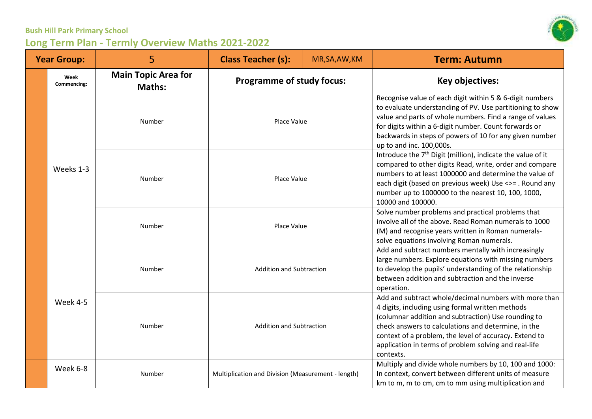| <b>Year Group:</b> |                     | 5                                           | <b>Class Teacher (s):</b>                          | MR, SA, AW, KM | <b>Term: Autumn</b>                                                                                                                                                                                                                                                                                                                                     |
|--------------------|---------------------|---------------------------------------------|----------------------------------------------------|----------------|---------------------------------------------------------------------------------------------------------------------------------------------------------------------------------------------------------------------------------------------------------------------------------------------------------------------------------------------------------|
|                    | Week<br>Commencing: | <b>Main Topic Area for</b><br><b>Maths:</b> | <b>Programme of study focus:</b>                   |                | <b>Key objectives:</b>                                                                                                                                                                                                                                                                                                                                  |
|                    |                     | Number                                      | Place Value                                        |                | Recognise value of each digit within 5 & 6-digit numbers<br>to evaluate understanding of PV. Use partitioning to show<br>value and parts of whole numbers. Find a range of values<br>for digits within a 6-digit number. Count forwards or<br>backwards in steps of powers of 10 for any given number<br>up to and inc. 100,000s.                       |
|                    | Weeks 1-3           | Number                                      | Place Value<br>Place Value                         |                | Introduce the 7 <sup>th</sup> Digit (million), indicate the value of it<br>compared to other digits Read, write, order and compare<br>numbers to at least 1000000 and determine the value of<br>each digit (based on previous week) Use <>= . Round any<br>number up to 1000000 to the nearest 10, 100, 1000,<br>10000 and 100000.                      |
|                    |                     | Number                                      |                                                    |                | Solve number problems and practical problems that<br>involve all of the above. Read Roman numerals to 1000<br>(M) and recognise years written in Roman numerals-<br>solve equations involving Roman numerals.                                                                                                                                           |
|                    | Week 4-5            | Number                                      | <b>Addition and Subtraction</b>                    |                | Add and subtract numbers mentally with increasingly<br>large numbers. Explore equations with missing numbers<br>to develop the pupils' understanding of the relationship<br>between addition and subtraction and the inverse<br>operation.                                                                                                              |
|                    |                     | Number                                      | <b>Addition and Subtraction</b>                    |                | Add and subtract whole/decimal numbers with more than<br>4 digits, including using formal written methods<br>(columnar addition and subtraction) Use rounding to<br>check answers to calculations and determine, in the<br>context of a problem, the level of accuracy. Extend to<br>application in terms of problem solving and real-life<br>contexts. |
|                    | Week 6-8            | Number                                      | Multiplication and Division (Measurement - length) |                | Multiply and divide whole numbers by 10, 100 and 1000:<br>In context, convert between different units of measure<br>km to m, m to cm, cm to mm using multiplication and                                                                                                                                                                                 |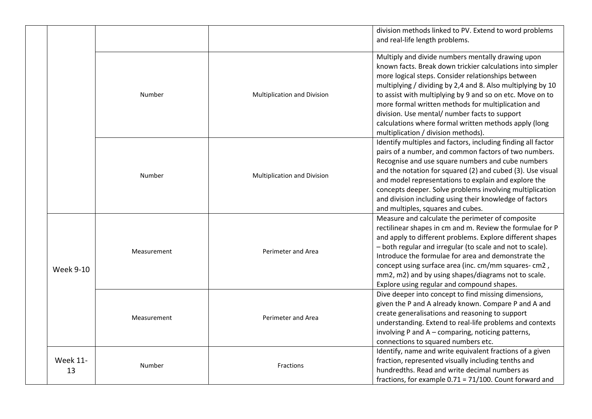|  |                       |             |                             | division methods linked to PV. Extend to word problems<br>and real-life length problems.                                                                                                                                                                                                                                                                                                                                                                                                                 |
|--|-----------------------|-------------|-----------------------------|----------------------------------------------------------------------------------------------------------------------------------------------------------------------------------------------------------------------------------------------------------------------------------------------------------------------------------------------------------------------------------------------------------------------------------------------------------------------------------------------------------|
|  |                       | Number      | Multiplication and Division | Multiply and divide numbers mentally drawing upon<br>known facts. Break down trickier calculations into simpler<br>more logical steps. Consider relationships between<br>multiplying / dividing by 2,4 and 8. Also multiplying by 10<br>to assist with multiplying by 9 and so on etc. Move on to<br>more formal written methods for multiplication and<br>division. Use mental/ number facts to support<br>calculations where formal written methods apply (long<br>multiplication / division methods). |
|  |                       | Number      | Multiplication and Division | Identify multiples and factors, including finding all factor<br>pairs of a number, and common factors of two numbers.<br>Recognise and use square numbers and cube numbers<br>and the notation for squared (2) and cubed (3). Use visual<br>and model representations to explain and explore the<br>concepts deeper. Solve problems involving multiplication<br>and division including using their knowledge of factors<br>and multiples, squares and cubes.                                             |
|  | <b>Week 9-10</b>      | Measurement | Perimeter and Area          | Measure and calculate the perimeter of composite<br>rectilinear shapes in cm and m. Review the formulae for P<br>and apply to different problems. Explore different shapes<br>- both regular and irregular (to scale and not to scale).<br>Introduce the formulae for area and demonstrate the<br>concept using surface area (inc. cm/mm squares- cm2,<br>mm2, m2) and by using shapes/diagrams not to scale.<br>Explore using regular and compound shapes.                                              |
|  |                       | Measurement | Perimeter and Area          | Dive deeper into concept to find missing dimensions,<br>given the P and A already known. Compare P and A and<br>create generalisations and reasoning to support<br>understanding. Extend to real-life problems and contexts<br>involving P and A - comparing, noticing patterns,<br>connections to squared numbers etc.                                                                                                                                                                                  |
|  | <b>Week 11-</b><br>13 | Number      | <b>Fractions</b>            | Identify, name and write equivalent fractions of a given<br>fraction, represented visually including tenths and<br>hundredths. Read and write decimal numbers as<br>fractions, for example $0.71 = 71/100$ . Count forward and                                                                                                                                                                                                                                                                           |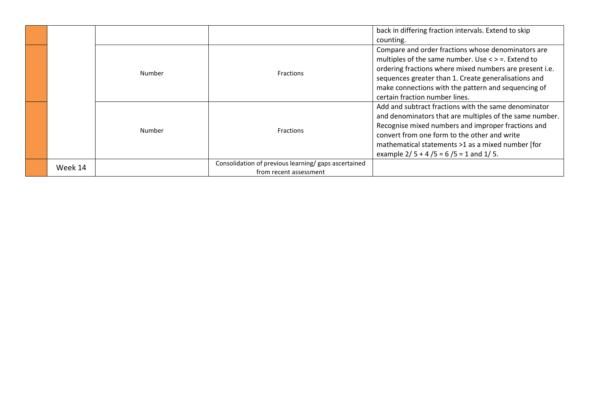|         |        |                                                                                | back in differing fraction intervals. Extend to skip                                                                                                                                                                                                                                                                     |
|---------|--------|--------------------------------------------------------------------------------|--------------------------------------------------------------------------------------------------------------------------------------------------------------------------------------------------------------------------------------------------------------------------------------------------------------------------|
|         |        |                                                                                | counting.                                                                                                                                                                                                                                                                                                                |
|         | Number | <b>Fractions</b>                                                               | Compare and order fractions whose denominators are<br>multiples of the same number. Use $\lt$ > =. Extend to<br>ordering fractions where mixed numbers are present i.e.<br>sequences greater than 1. Create generalisations and<br>make connections with the pattern and sequencing of<br>certain fraction number lines. |
|         | Number | <b>Fractions</b>                                                               | Add and subtract fractions with the same denominator<br>and denominators that are multiples of the same number.<br>Recognise mixed numbers and improper fractions and<br>convert from one form to the other and write<br>mathematical statements >1 as a mixed number [for<br>example $2/5 + 4/5 = 6/5 = 1$ and $1/5$ .  |
| Week 14 |        | Consolidation of previous learning/ gaps ascertained<br>from recent assessment |                                                                                                                                                                                                                                                                                                                          |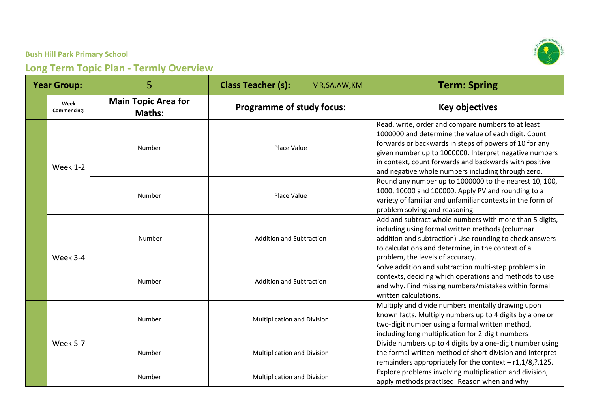| <b>Year Group:</b> |                     | 5                                           | <b>Class Teacher (s):</b>                                          | MR, SA, AW, KM | <b>Term: Spring</b>                                                                                                                                                                                                                                                                                                                            |
|--------------------|---------------------|---------------------------------------------|--------------------------------------------------------------------|----------------|------------------------------------------------------------------------------------------------------------------------------------------------------------------------------------------------------------------------------------------------------------------------------------------------------------------------------------------------|
|                    | Week<br>Commencing: | <b>Main Topic Area for</b><br><b>Maths:</b> | <b>Programme of study focus:</b>                                   |                | <b>Key objectives</b>                                                                                                                                                                                                                                                                                                                          |
|                    | <b>Week 1-2</b>     | Number                                      | Place Value                                                        |                | Read, write, order and compare numbers to at least<br>1000000 and determine the value of each digit. Count<br>forwards or backwards in steps of powers of 10 for any<br>given number up to 1000000. Interpret negative numbers<br>in context, count forwards and backwards with positive<br>and negative whole numbers including through zero. |
|                    |                     | Number                                      | Place Value                                                        |                | Round any number up to 1000000 to the nearest 10, 100,<br>1000, 10000 and 100000. Apply PV and rounding to a<br>variety of familiar and unfamiliar contexts in the form of<br>problem solving and reasoning.                                                                                                                                   |
|                    | Week 3-4            | Number                                      | <b>Addition and Subtraction</b><br><b>Addition and Subtraction</b> |                | Add and subtract whole numbers with more than 5 digits,<br>including using formal written methods (columnar<br>addition and subtraction) Use rounding to check answers<br>to calculations and determine, in the context of a<br>problem, the levels of accuracy.                                                                               |
|                    |                     | Number                                      |                                                                    |                | Solve addition and subtraction multi-step problems in<br>contexts, deciding which operations and methods to use<br>and why. Find missing numbers/mistakes within formal<br>written calculations.                                                                                                                                               |
|                    |                     | Number                                      | Multiplication and Division                                        |                | Multiply and divide numbers mentally drawing upon<br>known facts. Multiply numbers up to 4 digits by a one or<br>two-digit number using a formal written method,<br>including long multiplication for 2-digit numbers                                                                                                                          |
|                    | Week 5-7            | Number                                      | Multiplication and Division                                        |                | Divide numbers up to 4 digits by a one-digit number using<br>the formal written method of short division and interpret<br>remainders appropriately for the context - r1,1/8, ?. 125.                                                                                                                                                           |
|                    |                     | Number                                      | <b>Multiplication and Division</b>                                 |                | Explore problems involving multiplication and division,<br>apply methods practised. Reason when and why                                                                                                                                                                                                                                        |

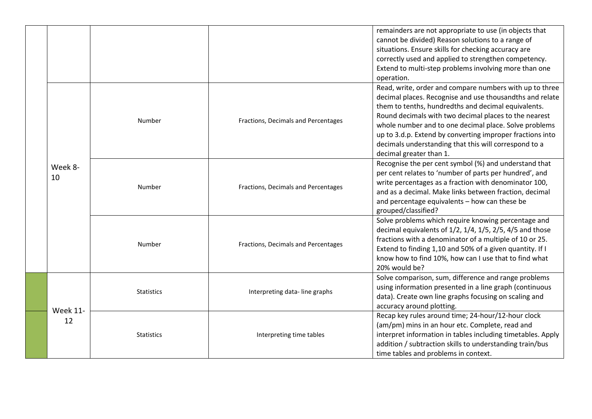|  |                       |                   |                                     | remainders are not appropriate to use (in objects that<br>cannot be divided) Reason solutions to a range of<br>situations. Ensure skills for checking accuracy are<br>correctly used and applied to strengthen competency.<br>Extend to multi-step problems involving more than one<br>operation.                                                                                                                                             |
|--|-----------------------|-------------------|-------------------------------------|-----------------------------------------------------------------------------------------------------------------------------------------------------------------------------------------------------------------------------------------------------------------------------------------------------------------------------------------------------------------------------------------------------------------------------------------------|
|  |                       | Number            | Fractions, Decimals and Percentages | Read, write, order and compare numbers with up to three<br>decimal places. Recognise and use thousandths and relate<br>them to tenths, hundredths and decimal equivalents.<br>Round decimals with two decimal places to the nearest<br>whole number and to one decimal place. Solve problems<br>up to 3.d.p. Extend by converting improper fractions into<br>decimals understanding that this will correspond to a<br>decimal greater than 1. |
|  | Week 8-<br>10         | Number            | Fractions, Decimals and Percentages | Recognise the per cent symbol (%) and understand that<br>per cent relates to 'number of parts per hundred', and<br>write percentages as a fraction with denominator 100,<br>and as a decimal. Make links between fraction, decimal<br>and percentage equivalents - how can these be<br>grouped/classified?                                                                                                                                    |
|  |                       | Number            | Fractions, Decimals and Percentages | Solve problems which require knowing percentage and<br>decimal equivalents of 1/2, 1/4, 1/5, 2/5, 4/5 and those<br>fractions with a denominator of a multiple of 10 or 25.<br>Extend to finding 1,10 and 50% of a given quantity. If I<br>know how to find 10%, how can I use that to find what<br>20% would be?                                                                                                                              |
|  | <b>Week 11-</b><br>12 | <b>Statistics</b> | Interpreting data-line graphs       | Solve comparison, sum, difference and range problems<br>using information presented in a line graph (continuous<br>data). Create own line graphs focusing on scaling and<br>accuracy around plotting.                                                                                                                                                                                                                                         |
|  |                       | <b>Statistics</b> | Interpreting time tables            | Recap key rules around time; 24-hour/12-hour clock<br>(am/pm) mins in an hour etc. Complete, read and<br>interpret information in tables including timetables. Apply<br>addition / subtraction skills to understanding train/bus<br>time tables and problems in context.                                                                                                                                                                      |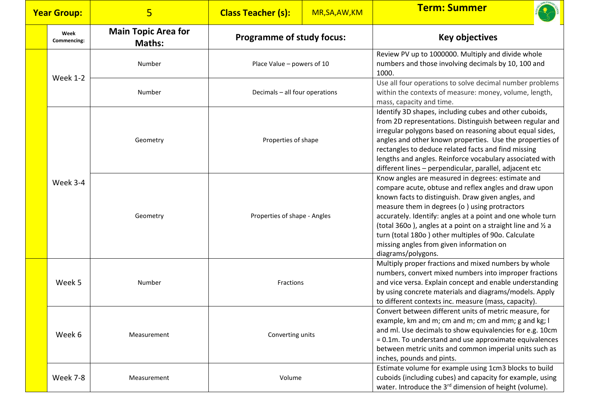| <b>Year Group:</b> |                     | $5\phantom{1}$                              | <b>Class Teacher (s):</b>        | MR, SA, AW, KM                                                                                                     | <b>Term: Summer</b>                                                                                                                                                                                                                                                                                                                                                                                                                                                      |
|--------------------|---------------------|---------------------------------------------|----------------------------------|--------------------------------------------------------------------------------------------------------------------|--------------------------------------------------------------------------------------------------------------------------------------------------------------------------------------------------------------------------------------------------------------------------------------------------------------------------------------------------------------------------------------------------------------------------------------------------------------------------|
|                    | Week<br>Commencing: | <b>Main Topic Area for</b><br><b>Maths:</b> | <b>Programme of study focus:</b> |                                                                                                                    | <b>Key objectives</b>                                                                                                                                                                                                                                                                                                                                                                                                                                                    |
|                    | <b>Week 1-2</b>     | Number<br>Place Value - powers of 10        |                                  | Review PV up to 1000000. Multiply and divide whole<br>numbers and those involving decimals by 10, 100 and<br>1000. |                                                                                                                                                                                                                                                                                                                                                                                                                                                                          |
|                    |                     | Number                                      | Decimals - all four operations   |                                                                                                                    | Use all four operations to solve decimal number problems<br>within the contexts of measure: money, volume, length,<br>mass, capacity and time.                                                                                                                                                                                                                                                                                                                           |
|                    |                     | Geometry                                    | Properties of shape              |                                                                                                                    | Identify 3D shapes, including cubes and other cuboids,<br>from 2D representations. Distinguish between regular and<br>irregular polygons based on reasoning about equal sides,<br>angles and other known properties. Use the properties of<br>rectangles to deduce related facts and find missing<br>lengths and angles. Reinforce vocabulary associated with<br>different lines - perpendicular, parallel, adjacent etc                                                 |
|                    | Week 3-4            | Geometry                                    | Properties of shape - Angles     |                                                                                                                    | Know angles are measured in degrees: estimate and<br>compare acute, obtuse and reflex angles and draw upon<br>known facts to distinguish. Draw given angles, and<br>measure them in degrees (o) using protractors<br>accurately. Identify: angles at a point and one whole turn<br>(total 360o), angles at a point on a straight line and 1/2 a<br>turn (total 180o) other multiples of 90o. Calculate<br>missing angles from given information on<br>diagrams/polygons. |
|                    | Week 5              | Number                                      | Fractions<br>Converting units    |                                                                                                                    | Multiply proper fractions and mixed numbers by whole<br>numbers, convert mixed numbers into improper fractions<br>and vice versa. Explain concept and enable understanding<br>by using concrete materials and diagrams/models. Apply<br>to different contexts inc. measure (mass, capacity).                                                                                                                                                                             |
|                    | Week 6              | Measurement                                 |                                  |                                                                                                                    | Convert between different units of metric measure, for<br>example, km and m; cm and m; cm and mm; g and kg; I<br>and ml. Use decimals to show equivalencies for e.g. 10cm<br>= 0.1m. To understand and use approximate equivalences<br>between metric units and common imperial units such as<br>inches, pounds and pints.                                                                                                                                               |
|                    | Week 7-8            | Measurement                                 | Volume                           |                                                                                                                    | Estimate volume for example using 1cm3 blocks to build<br>cuboids (including cubes) and capacity for example, using<br>water. Introduce the 3 <sup>rd</sup> dimension of height (volume).                                                                                                                                                                                                                                                                                |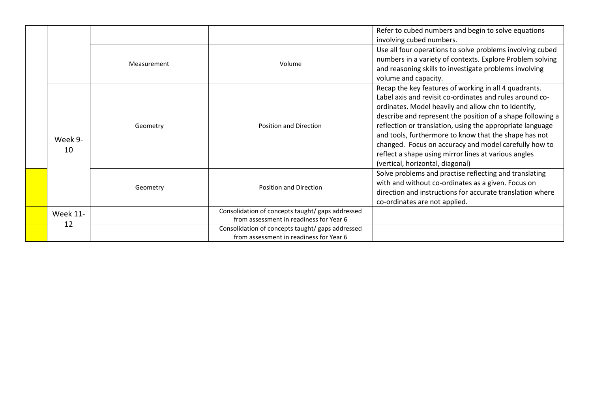|                 |             |                                                                                             | Refer to cubed numbers and begin to solve equations<br>involving cubed numbers.                                                                                                                                                                                                                                                                                                                                                                                                                                   |
|-----------------|-------------|---------------------------------------------------------------------------------------------|-------------------------------------------------------------------------------------------------------------------------------------------------------------------------------------------------------------------------------------------------------------------------------------------------------------------------------------------------------------------------------------------------------------------------------------------------------------------------------------------------------------------|
|                 | Measurement | Volume                                                                                      | Use all four operations to solve problems involving cubed<br>numbers in a variety of contexts. Explore Problem solving<br>and reasoning skills to investigate problems involving<br>volume and capacity.                                                                                                                                                                                                                                                                                                          |
| Week 9-<br>10   | Geometry    | <b>Position and Direction</b>                                                               | Recap the key features of working in all 4 quadrants.<br>Label axis and revisit co-ordinates and rules around co-<br>ordinates. Model heavily and allow chn to Identify,<br>describe and represent the position of a shape following a<br>reflection or translation, using the appropriate language<br>and tools, furthermore to know that the shape has not<br>changed. Focus on accuracy and model carefully how to<br>reflect a shape using mirror lines at various angles<br>(vertical, horizontal, diagonal) |
|                 | Geometry    | <b>Position and Direction</b>                                                               | Solve problems and practise reflecting and translating<br>with and without co-ordinates as a given. Focus on<br>direction and instructions for accurate translation where<br>co-ordinates are not applied.                                                                                                                                                                                                                                                                                                        |
| <b>Week 11-</b> |             | Consolidation of concepts taught/ gaps addressed<br>from assessment in readiness for Year 6 |                                                                                                                                                                                                                                                                                                                                                                                                                                                                                                                   |
| 12              |             | Consolidation of concepts taught/ gaps addressed<br>from assessment in readiness for Year 6 |                                                                                                                                                                                                                                                                                                                                                                                                                                                                                                                   |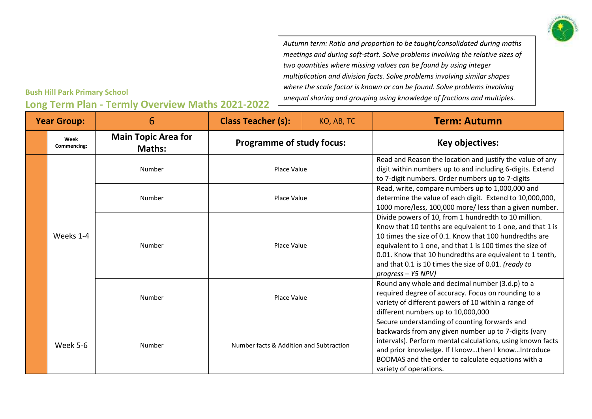

*Autumn term: Ratio and proportion to be taught/consolidated during maths meetings and during soft-start. Solve problems involving the relative sizes of two quantities where missing values can be found by using integer multiplication and division facts. Solve problems involving similar shapes where the scale factor is known or can be found. Solve problems involving unequal sharing and grouping using knowledge of fractions and multiples.*

#### **Bush Hill Park Primary School**

| <b>Year Group:</b> |                     | 6                                           | <b>Class Teacher (s):</b>               | KO, AB, TC | <b>Term: Autumn</b>                                                                                                                                                                                                                                                                                                                                                                  |
|--------------------|---------------------|---------------------------------------------|-----------------------------------------|------------|--------------------------------------------------------------------------------------------------------------------------------------------------------------------------------------------------------------------------------------------------------------------------------------------------------------------------------------------------------------------------------------|
|                    | Week<br>Commencing: | <b>Main Topic Area for</b><br><b>Maths:</b> | <b>Programme of study focus:</b>        |            | Key objectives:                                                                                                                                                                                                                                                                                                                                                                      |
|                    |                     | Number                                      | Place Value                             |            | Read and Reason the location and justify the value of any<br>digit within numbers up to and including 6-digits. Extend<br>to 7-digit numbers. Order numbers up to 7-digits                                                                                                                                                                                                           |
|                    |                     | Number                                      | Place Value                             |            | Read, write, compare numbers up to 1,000,000 and<br>determine the value of each digit. Extend to 10,000,000,<br>1000 more/less, 100,000 more/ less than a given number.                                                                                                                                                                                                              |
|                    | Weeks 1-4           | Number                                      | Place Value                             |            | Divide powers of 10, from 1 hundredth to 10 million.<br>Know that 10 tenths are equivalent to 1 one, and that 1 is<br>10 times the size of 0.1. Know that 100 hundredths are<br>equivalent to 1 one, and that 1 is 100 times the size of<br>0.01. Know that 10 hundredths are equivalent to 1 tenth,<br>and that 0.1 is 10 times the size of 0.01. (ready to<br>$progress - Y5 NPV)$ |
|                    |                     | Number                                      | Place Value                             |            | Round any whole and decimal number (3.d.p) to a<br>required degree of accuracy. Focus on rounding to a<br>variety of different powers of 10 within a range of<br>different numbers up to 10,000,000                                                                                                                                                                                  |
|                    | Week 5-6            | Number                                      | Number facts & Addition and Subtraction |            | Secure understanding of counting forwards and<br>backwards from any given number up to 7-digits (vary<br>intervals). Perform mental calculations, using known facts<br>and prior knowledge. If I knowthen I knowIntroduce<br>BODMAS and the order to calculate equations with a<br>variety of operations.                                                                            |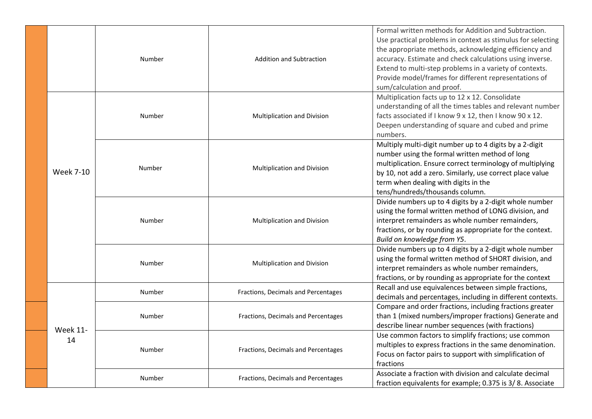|                       | Number | <b>Addition and Subtraction</b>     | Formal written methods for Addition and Subtraction.<br>Use practical problems in context as stimulus for selecting<br>the appropriate methods, acknowledging efficiency and<br>accuracy. Estimate and check calculations using inverse.<br>Extend to multi-step problems in a variety of contexts.<br>Provide model/frames for different representations of<br>sum/calculation and proof. |
|-----------------------|--------|-------------------------------------|--------------------------------------------------------------------------------------------------------------------------------------------------------------------------------------------------------------------------------------------------------------------------------------------------------------------------------------------------------------------------------------------|
|                       | Number | Multiplication and Division         | Multiplication facts up to 12 x 12. Consolidate<br>understanding of all the times tables and relevant number<br>facts associated if I know 9 x 12, then I know 90 x 12.<br>Deepen understanding of square and cubed and prime<br>numbers.                                                                                                                                                  |
| <b>Week 7-10</b>      | Number | Multiplication and Division         | Multiply multi-digit number up to 4 digits by a 2-digit<br>number using the formal written method of long<br>multiplication. Ensure correct terminology of multiplying<br>by 10, not add a zero. Similarly, use correct place value<br>term when dealing with digits in the<br>tens/hundreds/thousands column.                                                                             |
|                       | Number | Multiplication and Division         | Divide numbers up to 4 digits by a 2-digit whole number<br>using the formal written method of LONG division, and<br>interpret remainders as whole number remainders,<br>fractions, or by rounding as appropriate for the context.<br>Build on knowledge from Y5.                                                                                                                           |
|                       | Number | Multiplication and Division         | Divide numbers up to 4 digits by a 2-digit whole number<br>using the formal written method of SHORT division, and<br>interpret remainders as whole number remainders,<br>fractions, or by rounding as appropriate for the context                                                                                                                                                          |
|                       | Number | Fractions, Decimals and Percentages | Recall and use equivalences between simple fractions,<br>decimals and percentages, including in different contexts.                                                                                                                                                                                                                                                                        |
|                       | Number | Fractions, Decimals and Percentages | Compare and order fractions, including fractions greater<br>than 1 (mixed numbers/improper fractions) Generate and<br>describe linear number sequences (with fractions)                                                                                                                                                                                                                    |
| <b>Week 11-</b><br>14 | Number | Fractions, Decimals and Percentages | Use common factors to simplify fractions; use common<br>multiples to express fractions in the same denomination.<br>Focus on factor pairs to support with simplification of<br>fractions                                                                                                                                                                                                   |
|                       | Number | Fractions, Decimals and Percentages | Associate a fraction with division and calculate decimal<br>fraction equivalents for example; 0.375 is 3/8. Associate                                                                                                                                                                                                                                                                      |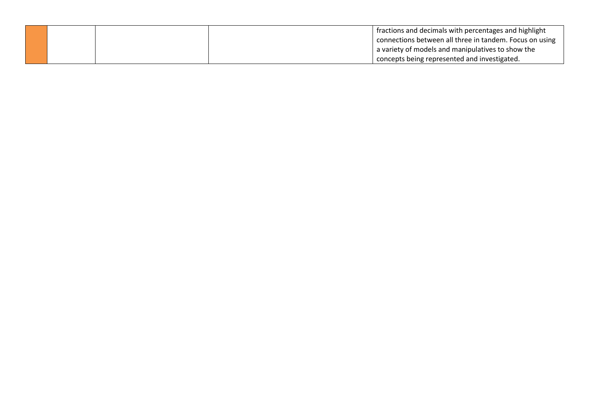|  | fractions and decimals with percentages and highlight   |
|--|---------------------------------------------------------|
|  | connections between all three in tandem. Focus on using |
|  | a variety of models and manipulatives to show the       |
|  | concepts being represented and investigated.            |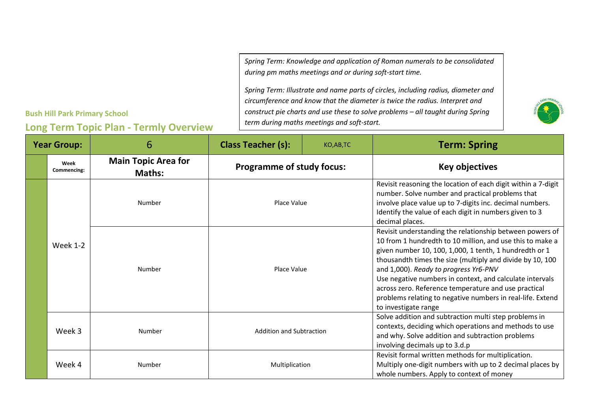*Spring Term: Knowledge and application of Roman numerals to be consolidated during pm maths meetings and or during soft-start time.*

*Spring Term: Illustrate and name parts of circles, including radius, diameter and circumference and know that the diameter is twice the radius. Interpret and construct pie charts and use these to solve problems – all taught during Spring term during maths meetings and soft-start.* 



#### **Year Group:**  $\begin{array}{ccc} \blacksquare & \blacksquare & \blacksquare & \blacksquare \\ 6 & \square & \square & \square \end{array}$  Class Teacher (s):  $\begin{array}{ccc} \blacksquare & \blacksquare & \blacksquare & \blacksquare \\ \blacksquare & \blacksquare & \square & \square & \square \end{array}$  **Term:** Spring **Week Commencing: Main Topic Area for Maths: Programme of study focus:** Naths: Key objectives Week 1-2 Number and **Place Value** Revisit reasoning the location of each digit within a 7-digit number. Solve number and practical problems that involve place value up to 7-digits inc. decimal numbers. Identify the value of each digit in numbers given to 3 decimal places. Number **Number** Place Value Revisit understanding the relationship between powers of 10 from 1 hundredth to 10 million, and use this to make a given number 10, 100, 1,000, 1 tenth, 1 hundredth or 1 thousandth times the size (multiply and divide by 10, 100 and 1,000). *Ready to progress Yr6-PNV* Use negative numbers in context, and calculate intervals across zero. Reference temperature and use practical problems relating to negative numbers in real-life. Extend to investigate range Week 3 Number Number Addition and Subtraction Solve addition and subtraction multi step problems in contexts, deciding which operations and methods to use and why. Solve addition and subtraction problems involving decimals up to 3.d.p Week 4 Number Number Number Number Multiplication Revisit formal written methods for multiplication. Multiply one-digit numbers with up to 2 decimal places by whole numbers. Apply to context of money

### **Bush Hill Park Primary School**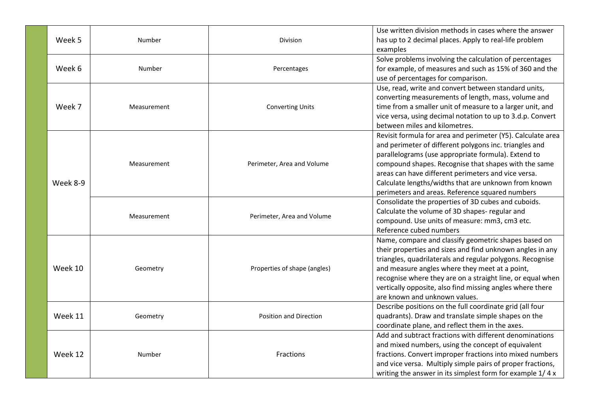| Week 5   | Number      | <b>Division</b>               | Use written division methods in cases where the answer<br>has up to 2 decimal places. Apply to real-life problem<br>examples                                                                                                                                                                                                                                                                           |
|----------|-------------|-------------------------------|--------------------------------------------------------------------------------------------------------------------------------------------------------------------------------------------------------------------------------------------------------------------------------------------------------------------------------------------------------------------------------------------------------|
| Week 6   | Number      | Percentages                   | Solve problems involving the calculation of percentages<br>for example, of measures and such as 15% of 360 and the<br>use of percentages for comparison.                                                                                                                                                                                                                                               |
| Week 7   | Measurement | <b>Converting Units</b>       | Use, read, write and convert between standard units,<br>converting measurements of length, mass, volume and<br>time from a smaller unit of measure to a larger unit, and<br>vice versa, using decimal notation to up to 3.d.p. Convert<br>between miles and kilometres.                                                                                                                                |
| Week 8-9 | Measurement | Perimeter, Area and Volume    | Revisit formula for area and perimeter (Y5). Calculate area<br>and perimeter of different polygons inc. triangles and<br>parallelograms (use appropriate formula). Extend to<br>compound shapes. Recognise that shapes with the same<br>areas can have different perimeters and vice versa.<br>Calculate lengths/widths that are unknown from known<br>perimeters and areas. Reference squared numbers |
|          | Measurement | Perimeter, Area and Volume    | Consolidate the properties of 3D cubes and cuboids.<br>Calculate the volume of 3D shapes- regular and<br>compound. Use units of measure: mm3, cm3 etc.<br>Reference cubed numbers                                                                                                                                                                                                                      |
| Week 10  | Geometry    | Properties of shape (angles)  | Name, compare and classify geometric shapes based on<br>their properties and sizes and find unknown angles in any<br>triangles, quadrilaterals and regular polygons. Recognise<br>and measure angles where they meet at a point,<br>recognise where they are on a straight line, or equal when<br>vertically opposite, also find missing angles where there<br>are known and unknown values.           |
| Week 11  | Geometry    | <b>Position and Direction</b> | Describe positions on the full coordinate grid (all four<br>quadrants). Draw and translate simple shapes on the<br>coordinate plane, and reflect them in the axes.                                                                                                                                                                                                                                     |
| Week 12  | Number      | <b>Fractions</b>              | Add and subtract fractions with different denominations<br>and mixed numbers, using the concept of equivalent<br>fractions. Convert improper fractions into mixed numbers<br>and vice versa. Multiply simple pairs of proper fractions,<br>writing the answer in its simplest form for example 1/4 x                                                                                                   |